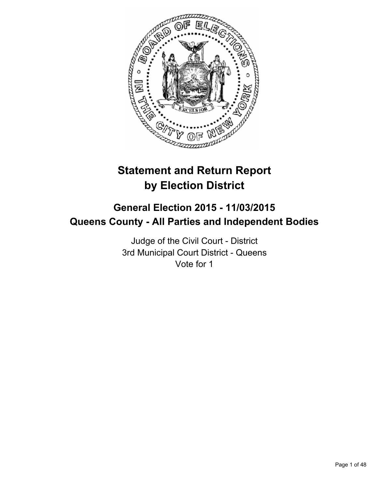

# **Statement and Return Report by Election District**

# **General Election 2015 - 11/03/2015 Queens County - All Parties and Independent Bodies**

Judge of the Civil Court - District 3rd Municipal Court District - Queens Vote for 1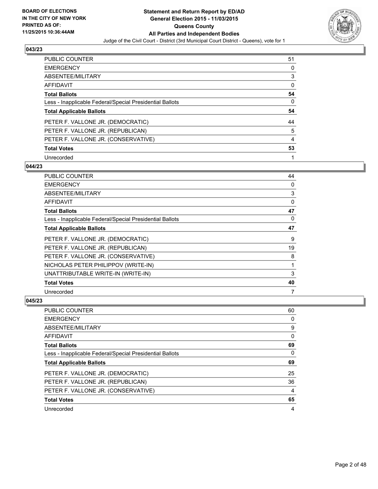

| PUBLIC COUNTER                                           | 51 |
|----------------------------------------------------------|----|
| <b>EMERGENCY</b>                                         | 0  |
| ABSENTEE/MILITARY                                        | 3  |
| <b>AFFIDAVIT</b>                                         | 0  |
| <b>Total Ballots</b>                                     | 54 |
| Less - Inapplicable Federal/Special Presidential Ballots | 0  |
| <b>Total Applicable Ballots</b>                          | 54 |
|                                                          |    |
| PETER F. VALLONE JR. (DEMOCRATIC)                        | 44 |
| PETER F. VALLONE JR. (REPUBLICAN)                        | 5  |
| PETER F. VALLONE JR. (CONSERVATIVE)                      | 4  |
| <b>Total Votes</b>                                       | 53 |

### **044/23**

| PUBLIC COUNTER                                           | 44 |
|----------------------------------------------------------|----|
| <b>EMERGENCY</b>                                         | 0  |
| ABSENTEE/MILITARY                                        | 3  |
| <b>AFFIDAVIT</b>                                         | 0  |
| <b>Total Ballots</b>                                     | 47 |
| Less - Inapplicable Federal/Special Presidential Ballots | 0  |
| <b>Total Applicable Ballots</b>                          | 47 |
| PETER F. VALLONE JR. (DEMOCRATIC)                        | 9  |
| PETER F. VALLONE JR. (REPUBLICAN)                        | 19 |
| PETER F. VALLONE JR. (CONSERVATIVE)                      | 8  |
| NICHOLAS PETER PHILIPPOV (WRITE-IN)                      | 1  |
| UNATTRIBUTABLE WRITE-IN (WRITE-IN)                       | 3  |
| <b>Total Votes</b>                                       | 40 |
| Unrecorded                                               | 7  |

| PUBLIC COUNTER                                           | 60 |
|----------------------------------------------------------|----|
| <b>EMERGENCY</b>                                         | 0  |
| ABSENTEE/MILITARY                                        | 9  |
| AFFIDAVIT                                                | 0  |
| <b>Total Ballots</b>                                     | 69 |
| Less - Inapplicable Federal/Special Presidential Ballots | 0  |
| <b>Total Applicable Ballots</b>                          | 69 |
|                                                          |    |
| PETER F. VALLONE JR. (DEMOCRATIC)                        | 25 |
| PETER F. VALLONE JR. (REPUBLICAN)                        | 36 |
| PETER F. VALLONE JR. (CONSERVATIVE)                      | 4  |
| <b>Total Votes</b>                                       | 65 |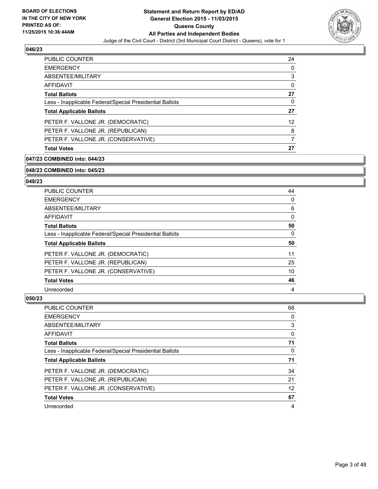

| <b>PUBLIC COUNTER</b>                                    | 24 |
|----------------------------------------------------------|----|
| <b>EMERGENCY</b>                                         | 0  |
| ABSENTEE/MILITARY                                        | 3  |
| AFFIDAVIT                                                | 0  |
| <b>Total Ballots</b>                                     | 27 |
| Less - Inapplicable Federal/Special Presidential Ballots | 0  |
| <b>Total Applicable Ballots</b>                          | 27 |
| PETER F. VALLONE JR. (DEMOCRATIC)                        | 12 |
| PETER F. VALLONE JR. (REPUBLICAN)                        | 8  |
| PETER F. VALLONE JR. (CONSERVATIVE)                      |    |
| <b>Total Votes</b>                                       | 27 |

### **047/23 COMBINED into: 044/23**

#### **048/23 COMBINED into: 045/23**

#### **049/23**

| PUBLIC COUNTER                                           | 44       |
|----------------------------------------------------------|----------|
| <b>EMERGENCY</b>                                         | 0        |
| ABSENTEE/MILITARY                                        | 6        |
| <b>AFFIDAVIT</b>                                         | $\Omega$ |
| <b>Total Ballots</b>                                     | 50       |
| Less - Inapplicable Federal/Special Presidential Ballots | 0        |
| <b>Total Applicable Ballots</b>                          | 50       |
| PETER F. VALLONE JR. (DEMOCRATIC)                        | 11       |
| PETER F. VALLONE JR. (REPUBLICAN)                        | 25       |
| PETER F. VALLONE JR. (CONSERVATIVE)                      | 10       |
| <b>Total Votes</b>                                       | 46       |
| Unrecorded                                               | 4        |

| <b>PUBLIC COUNTER</b>                                    | 68 |
|----------------------------------------------------------|----|
| <b>EMERGENCY</b>                                         | 0  |
| ABSENTEE/MILITARY                                        | 3  |
| AFFIDAVIT                                                | 0  |
| <b>Total Ballots</b>                                     | 71 |
| Less - Inapplicable Federal/Special Presidential Ballots | 0  |
| <b>Total Applicable Ballots</b>                          | 71 |
| PETER F. VALLONE JR. (DEMOCRATIC)                        | 34 |
| PETER F. VALLONE JR. (REPUBLICAN)                        | 21 |
| PETER F. VALLONE JR. (CONSERVATIVE)                      | 12 |
| <b>Total Votes</b>                                       | 67 |
| Unrecorded                                               | 4  |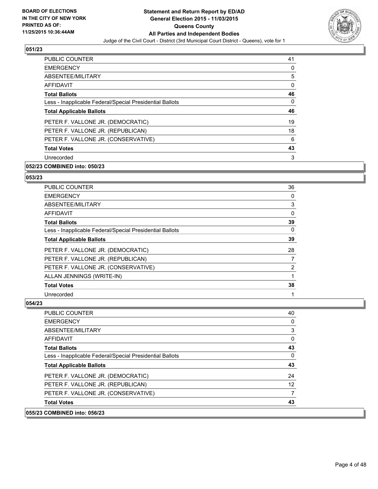

| PUBLIC COUNTER                                           | 41 |
|----------------------------------------------------------|----|
| <b>EMERGENCY</b>                                         | 0  |
| ABSENTEE/MILITARY                                        | 5  |
| AFFIDAVIT                                                | 0  |
| <b>Total Ballots</b>                                     | 46 |
| Less - Inapplicable Federal/Special Presidential Ballots | 0  |
| <b>Total Applicable Ballots</b>                          | 46 |
| PETER F. VALLONE JR. (DEMOCRATIC)                        | 19 |
| PETER F. VALLONE JR. (REPUBLICAN)                        | 18 |
| PETER F. VALLONE JR. (CONSERVATIVE)                      | 6  |
| <b>Total Votes</b>                                       | 43 |
| Unrecorded                                               | 3  |

# **052/23 COMBINED into: 050/23**

#### **053/23**

| <b>PUBLIC COUNTER</b>                                    | 36             |
|----------------------------------------------------------|----------------|
| <b>EMERGENCY</b>                                         | 0              |
| ABSENTEE/MILITARY                                        | 3              |
| AFFIDAVIT                                                | 0              |
| <b>Total Ballots</b>                                     | 39             |
| Less - Inapplicable Federal/Special Presidential Ballots | 0              |
| <b>Total Applicable Ballots</b>                          | 39             |
| PETER F. VALLONE JR. (DEMOCRATIC)                        | 28             |
| PETER F. VALLONE JR. (REPUBLICAN)                        | 7              |
| PETER F. VALLONE JR. (CONSERVATIVE)                      | $\overline{2}$ |
| ALLAN JENNINGS (WRITE-IN)                                |                |
| <b>Total Votes</b>                                       | 38             |
| Unrecorded                                               | 1              |

### **054/23**

 $|055/23$ 

| <b>COMBINED into: 056/23</b>                             |                   |
|----------------------------------------------------------|-------------------|
| <b>Total Votes</b>                                       | 43                |
| PETER F. VALLONE JR. (CONSERVATIVE)                      | 7                 |
| PETER F. VALLONE JR. (REPUBLICAN)                        | $12 \overline{ }$ |
| PETER F. VALLONE JR. (DEMOCRATIC)                        | 24                |
| <b>Total Applicable Ballots</b>                          | 43                |
| Less - Inapplicable Federal/Special Presidential Ballots | 0                 |
| <b>Total Ballots</b>                                     | 43                |
| AFFIDAVIT                                                | 0                 |
| ABSENTEE/MILITARY                                        | 3                 |
| EMERGENCY                                                | 0                 |
| <b>PUBLIC COUNTER</b>                                    | 40                |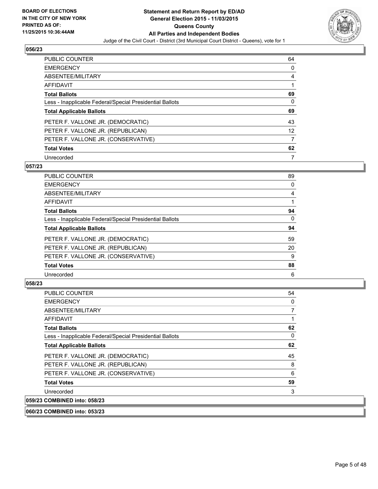

| PUBLIC COUNTER                                           | 64              |
|----------------------------------------------------------|-----------------|
| <b>EMERGENCY</b>                                         | 0               |
| ABSENTEE/MILITARY                                        | 4               |
| <b>AFFIDAVIT</b>                                         |                 |
| <b>Total Ballots</b>                                     | 69              |
| Less - Inapplicable Federal/Special Presidential Ballots | 0               |
| <b>Total Applicable Ballots</b>                          | 69              |
| PETER F. VALLONE JR. (DEMOCRATIC)                        | 43              |
| PETER F. VALLONE JR. (REPUBLICAN)                        | 12 <sup>°</sup> |
| PETER F. VALLONE JR. (CONSERVATIVE)                      | 7               |
|                                                          |                 |
| <b>Total Votes</b>                                       | 62              |

### **057/23**

| PUBLIC COUNTER                                           | 89 |
|----------------------------------------------------------|----|
| <b>EMERGENCY</b>                                         | 0  |
| ABSENTEE/MILITARY                                        | 4  |
| <b>AFFIDAVIT</b>                                         |    |
| <b>Total Ballots</b>                                     | 94 |
| Less - Inapplicable Federal/Special Presidential Ballots | 0  |
| <b>Total Applicable Ballots</b>                          | 94 |
| PETER F. VALLONE JR. (DEMOCRATIC)                        | 59 |
| PETER F. VALLONE JR. (REPUBLICAN)                        | 20 |
| PETER F. VALLONE JR. (CONSERVATIVE)                      | 9  |
| <b>Total Votes</b>                                       | 88 |
| Unrecorded                                               | 6  |

# **058/23**

| <b>PUBLIC COUNTER</b>                                    | 54 |
|----------------------------------------------------------|----|
| <b>EMERGENCY</b>                                         | 0  |
| ABSENTEE/MILITARY                                        | 7  |
| AFFIDAVIT                                                |    |
| <b>Total Ballots</b>                                     | 62 |
| Less - Inapplicable Federal/Special Presidential Ballots | 0  |
| <b>Total Applicable Ballots</b>                          | 62 |
| PETER F. VALLONE JR. (DEMOCRATIC)                        | 45 |
| PETER F. VALLONE JR. (REPUBLICAN)                        | 8  |
| PETER F. VALLONE JR. (CONSERVATIVE)                      | 6  |
| <b>Total Votes</b>                                       | 59 |
| Unrecorded                                               | 3  |
| 059/23 COMBINED into: 058/23                             |    |

### **060/23 COMBINED into: 053/23**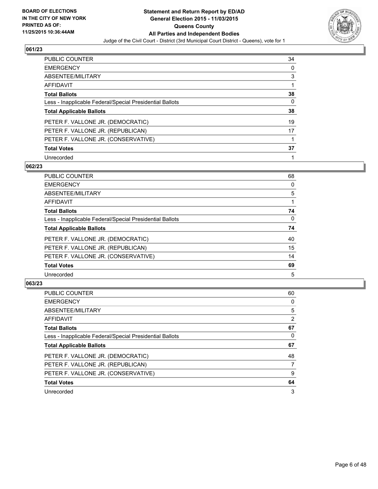

| PUBLIC COUNTER                                           | 34 |
|----------------------------------------------------------|----|
| <b>EMERGENCY</b>                                         | 0  |
| ABSENTEE/MILITARY                                        | 3  |
| <b>AFFIDAVIT</b>                                         |    |
| <b>Total Ballots</b>                                     | 38 |
| Less - Inapplicable Federal/Special Presidential Ballots | 0  |
| <b>Total Applicable Ballots</b>                          | 38 |
| PETER F. VALLONE JR. (DEMOCRATIC)                        | 19 |
| PETER F. VALLONE JR. (REPUBLICAN)                        | 17 |
| PETER F. VALLONE JR. (CONSERVATIVE)                      |    |
| <b>Total Votes</b>                                       | 37 |
| Unrecorded                                               |    |

### **062/23**

| PUBLIC COUNTER                                           | 68 |
|----------------------------------------------------------|----|
| <b>EMERGENCY</b>                                         | 0  |
| ABSENTEE/MILITARY                                        | 5  |
| AFFIDAVIT                                                |    |
| <b>Total Ballots</b>                                     | 74 |
| Less - Inapplicable Federal/Special Presidential Ballots | 0  |
| <b>Total Applicable Ballots</b>                          | 74 |
| PETER F. VALLONE JR. (DEMOCRATIC)                        | 40 |
| PETER F. VALLONE JR. (REPUBLICAN)                        | 15 |
| PETER F. VALLONE JR. (CONSERVATIVE)                      | 14 |
| <b>Total Votes</b>                                       | 69 |
| Unrecorded                                               | 5  |

| PUBLIC COUNTER                                           | 60             |
|----------------------------------------------------------|----------------|
| <b>EMERGENCY</b>                                         | 0              |
| ABSENTEE/MILITARY                                        | 5              |
| <b>AFFIDAVIT</b>                                         | $\overline{2}$ |
| <b>Total Ballots</b>                                     | 67             |
| Less - Inapplicable Federal/Special Presidential Ballots | 0              |
| <b>Total Applicable Ballots</b>                          | 67             |
| PETER F. VALLONE JR. (DEMOCRATIC)                        | 48             |
| PETER F. VALLONE JR. (REPUBLICAN)                        | 7              |
| PETER F. VALLONE JR. (CONSERVATIVE)                      | 9              |
| <b>Total Votes</b>                                       | 64             |
| Unrecorded                                               | 3              |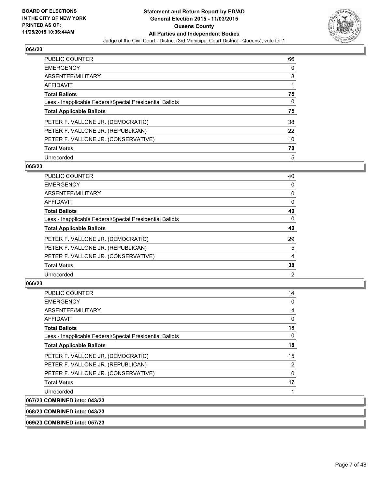

| <b>PUBLIC COUNTER</b>                                    | 66 |
|----------------------------------------------------------|----|
| <b>EMERGENCY</b>                                         | 0  |
| ABSENTEE/MILITARY                                        | 8  |
| <b>AFFIDAVIT</b>                                         |    |
| <b>Total Ballots</b>                                     | 75 |
| Less - Inapplicable Federal/Special Presidential Ballots | 0  |
| <b>Total Applicable Ballots</b>                          | 75 |
| PETER F. VALLONE JR. (DEMOCRATIC)                        | 38 |
| PETER F. VALLONE JR. (REPUBLICAN)                        | 22 |
| PETER F. VALLONE JR. (CONSERVATIVE)                      | 10 |
| <b>Total Votes</b>                                       | 70 |
| Unrecorded                                               | 5  |

### **065/23**

| PUBLIC COUNTER                                           | 40 |
|----------------------------------------------------------|----|
| <b>EMERGENCY</b>                                         | 0  |
| ABSENTEE/MILITARY                                        | 0  |
| <b>AFFIDAVIT</b>                                         | 0  |
| <b>Total Ballots</b>                                     | 40 |
| Less - Inapplicable Federal/Special Presidential Ballots | 0  |
| <b>Total Applicable Ballots</b>                          | 40 |
| PETER F. VALLONE JR. (DEMOCRATIC)                        | 29 |
| PETER F. VALLONE JR. (REPUBLICAN)                        | 5  |
| PETER F. VALLONE JR. (CONSERVATIVE)                      | 4  |
| <b>Total Votes</b>                                       | 38 |
| Unrecorded                                               | 2  |
|                                                          |    |

### **066/23**

067/23

| PUBLIC COUNTER                                           | 14             |
|----------------------------------------------------------|----------------|
| <b>EMERGENCY</b>                                         | 0              |
| ABSENTEE/MILITARY                                        | 4              |
| AFFIDAVIT                                                | 0              |
| <b>Total Ballots</b>                                     | 18             |
| Less - Inapplicable Federal/Special Presidential Ballots | 0              |
| <b>Total Applicable Ballots</b>                          | 18             |
| PETER F. VALLONE JR. (DEMOCRATIC)                        | 15             |
| PETER F. VALLONE JR. (REPUBLICAN)                        | $\overline{2}$ |
| PETER F. VALLONE JR. (CONSERVATIVE)                      | 0              |
| <b>Total Votes</b>                                       | 17             |
| Unrecorded                                               |                |
| <b>COMBINED into: 043/23</b>                             |                |

**068/23 COMBINED into: 043/23**

**069/23 COMBINED into: 057/23**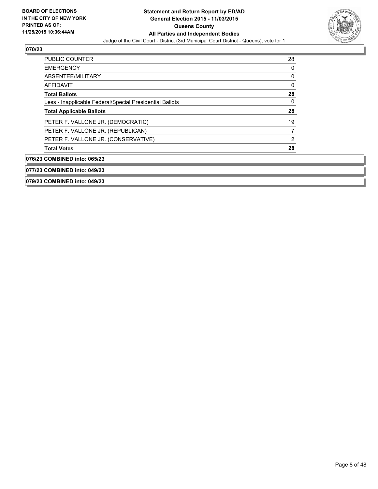

| <b>PUBLIC COUNTER</b>                                    | 28 |
|----------------------------------------------------------|----|
| <b>EMERGENCY</b>                                         | 0  |
| ABSENTEE/MILITARY                                        | 0  |
| AFFIDAVIT                                                | 0  |
| <b>Total Ballots</b>                                     | 28 |
| Less - Inapplicable Federal/Special Presidential Ballots | 0  |
| <b>Total Applicable Ballots</b>                          | 28 |
| PETER F. VALLONE JR. (DEMOCRATIC)                        | 19 |
| PETER F. VALLONE JR. (REPUBLICAN)                        | 7  |
| PETER F. VALLONE JR. (CONSERVATIVE)                      | 2  |
| <b>Total Votes</b>                                       | 28 |
| 076/23 COMBINED into: 065/23                             |    |
| 077/23 COMBINED into: 049/23                             |    |

**079/23 COMBINED into: 049/23**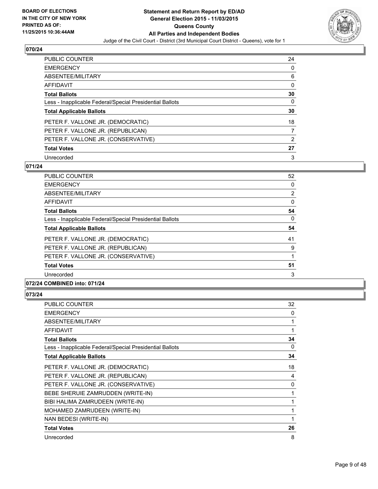

| <b>PUBLIC COUNTER</b>                                    | 24 |
|----------------------------------------------------------|----|
| <b>EMERGENCY</b>                                         | 0  |
| ABSENTEE/MILITARY                                        | 6  |
| <b>AFFIDAVIT</b>                                         | 0  |
| <b>Total Ballots</b>                                     | 30 |
| Less - Inapplicable Federal/Special Presidential Ballots | 0  |
| <b>Total Applicable Ballots</b>                          | 30 |
| PETER F. VALLONE JR. (DEMOCRATIC)                        | 18 |
| PETER F. VALLONE JR. (REPUBLICAN)                        | 7  |
| PETER F. VALLONE JR. (CONSERVATIVE)                      | 2  |
| <b>Total Votes</b>                                       | 27 |
| Unrecorded                                               | 3  |

### **071/24**

| <b>PUBLIC COUNTER</b>                                    | 52             |
|----------------------------------------------------------|----------------|
| <b>EMERGENCY</b>                                         | 0              |
| ABSENTEE/MILITARY                                        | $\overline{2}$ |
| <b>AFFIDAVIT</b>                                         | 0              |
| <b>Total Ballots</b>                                     | 54             |
| Less - Inapplicable Federal/Special Presidential Ballots | 0              |
| <b>Total Applicable Ballots</b>                          | 54             |
| PETER F. VALLONE JR. (DEMOCRATIC)                        | 41             |
| PETER F. VALLONE JR. (REPUBLICAN)                        | 9              |
| PETER F. VALLONE JR. (CONSERVATIVE)                      |                |
| <b>Total Votes</b>                                       | 51             |
| Unrecorded                                               | 3              |
| . <b>.</b>                                               |                |

# **072/24 COMBINED into: 071/24**

| PUBLIC COUNTER                                           | 32 |
|----------------------------------------------------------|----|
| <b>EMERGENCY</b>                                         | 0  |
| ABSENTEE/MILITARY                                        | 1  |
| <b>AFFIDAVIT</b>                                         | 1  |
| <b>Total Ballots</b>                                     | 34 |
| Less - Inapplicable Federal/Special Presidential Ballots | 0  |
| <b>Total Applicable Ballots</b>                          | 34 |
| PETER F. VALLONE JR. (DEMOCRATIC)                        | 18 |
| PETER F. VALLONE JR. (REPUBLICAN)                        | 4  |
| PETER F. VALLONE JR. (CONSERVATIVE)                      | 0  |
| BEBE SHERUIE ZAMRUDDEN (WRITE-IN)                        | 1  |
| BIBI HALIMA ZAMRUDEEN (WRITE-IN)                         | 1  |
| MOHAMED ZAMRUDEEN (WRITE-IN)                             | 1  |
| NAN BEDESI (WRITE-IN)                                    | 1  |
| <b>Total Votes</b>                                       | 26 |
| Unrecorded                                               | 8  |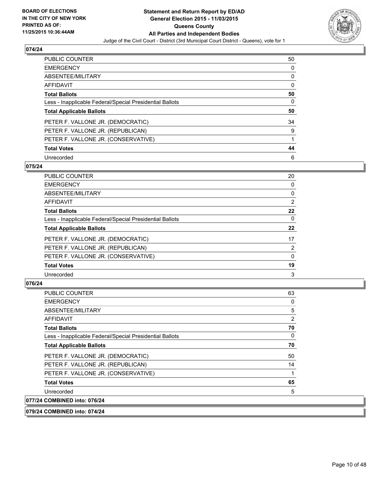

| PUBLIC COUNTER                                           | 50 |
|----------------------------------------------------------|----|
| <b>EMERGENCY</b>                                         | 0  |
| ABSENTEE/MILITARY                                        | 0  |
| <b>AFFIDAVIT</b>                                         | 0  |
| <b>Total Ballots</b>                                     | 50 |
| Less - Inapplicable Federal/Special Presidential Ballots | 0  |
| <b>Total Applicable Ballots</b>                          | 50 |
| PETER F. VALLONE JR. (DEMOCRATIC)                        | 34 |
| PETER F. VALLONE JR. (REPUBLICAN)                        | 9  |
| PETER F. VALLONE JR. (CONSERVATIVE)                      |    |
| <b>Total Votes</b>                                       | 44 |
| Unrecorded                                               | 6  |

### **075/24**

| PUBLIC COUNTER                                           | 20             |
|----------------------------------------------------------|----------------|
| <b>EMERGENCY</b>                                         | 0              |
| ABSENTEE/MILITARY                                        | 0              |
| <b>AFFIDAVIT</b>                                         | $\overline{2}$ |
| <b>Total Ballots</b>                                     | 22             |
| Less - Inapplicable Federal/Special Presidential Ballots | 0              |
| <b>Total Applicable Ballots</b>                          | 22             |
| PETER F. VALLONE JR. (DEMOCRATIC)                        | 17             |
| PETER F. VALLONE JR. (REPUBLICAN)                        | 2              |
| PETER F. VALLONE JR. (CONSERVATIVE)                      | 0              |
| <b>Total Votes</b>                                       | 19             |
| Unrecorded                                               | 3              |
|                                                          |                |

# **076/24**

| <b>PUBLIC COUNTER</b>                                    | 63 |
|----------------------------------------------------------|----|
| <b>EMERGENCY</b>                                         | 0  |
| ABSENTEE/MILITARY                                        | 5  |
| AFFIDAVIT                                                | 2  |
| <b>Total Ballots</b>                                     | 70 |
| Less - Inapplicable Federal/Special Presidential Ballots | 0  |
| <b>Total Applicable Ballots</b>                          | 70 |
| PETER F. VALLONE JR. (DEMOCRATIC)                        | 50 |
| PETER F. VALLONE JR. (REPUBLICAN)                        | 14 |
| PETER F. VALLONE JR. (CONSERVATIVE)                      |    |
| <b>Total Votes</b>                                       | 65 |
| Unrecorded                                               | 5  |
| 077/24 COMBINED into: 076/24                             |    |

# **079/24 COMBINED into: 074/24**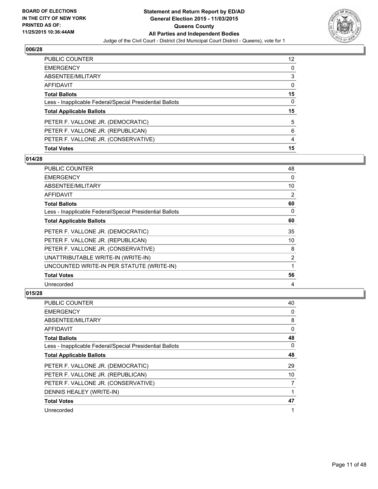

| PUBLIC COUNTER                                           | 12 <sup>°</sup> |
|----------------------------------------------------------|-----------------|
| <b>EMERGENCY</b>                                         | 0               |
| ABSENTEE/MILITARY                                        | 3               |
| AFFIDAVIT                                                | 0               |
| <b>Total Ballots</b>                                     | 15              |
| Less - Inapplicable Federal/Special Presidential Ballots | 0               |
| <b>Total Applicable Ballots</b>                          | 15              |
| PETER F. VALLONE JR. (DEMOCRATIC)                        | 5               |
| PETER F. VALLONE JR. (REPUBLICAN)                        | 6               |
| PETER F. VALLONE JR. (CONSERVATIVE)                      | 4               |
| <b>Total Votes</b>                                       | 15              |

# **014/28**

| PUBLIC COUNTER                                           | 48 |
|----------------------------------------------------------|----|
| <b>EMERGENCY</b>                                         | 0  |
| ABSENTEE/MILITARY                                        | 10 |
| <b>AFFIDAVIT</b>                                         | 2  |
| <b>Total Ballots</b>                                     | 60 |
| Less - Inapplicable Federal/Special Presidential Ballots | 0  |
| <b>Total Applicable Ballots</b>                          | 60 |
| PETER F. VALLONE JR. (DEMOCRATIC)                        | 35 |
| PETER F. VALLONE JR. (REPUBLICAN)                        | 10 |
| PETER F. VALLONE JR. (CONSERVATIVE)                      | 8  |
| UNATTRIBUTABLE WRITE-IN (WRITE-IN)                       | 2  |
| UNCOUNTED WRITE-IN PER STATUTE (WRITE-IN)                | 1  |
| <b>Total Votes</b>                                       | 56 |
| Unrecorded                                               | 4  |

| <b>PUBLIC COUNTER</b>                                    | 40 |
|----------------------------------------------------------|----|
| <b>EMERGENCY</b>                                         | 0  |
| ABSENTEE/MILITARY                                        | 8  |
| AFFIDAVIT                                                | 0  |
| <b>Total Ballots</b>                                     | 48 |
| Less - Inapplicable Federal/Special Presidential Ballots | 0  |
| <b>Total Applicable Ballots</b>                          | 48 |
| PETER F. VALLONE JR. (DEMOCRATIC)                        | 29 |
| PETER F. VALLONE JR. (REPUBLICAN)                        | 10 |
| PETER F. VALLONE JR. (CONSERVATIVE)                      | 7  |
| DENNIS HEALEY (WRITE-IN)                                 | 1  |
| <b>Total Votes</b>                                       | 47 |
| Unrecorded                                               | 1  |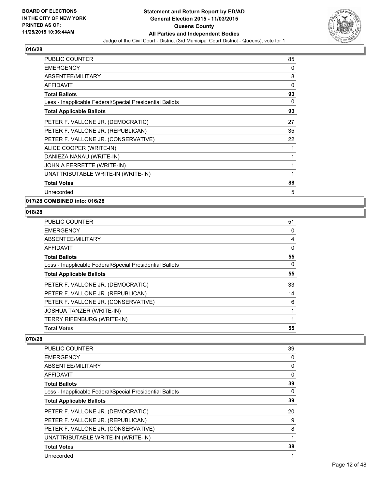

| <b>PUBLIC COUNTER</b>                                    | 85 |
|----------------------------------------------------------|----|
| <b>EMERGENCY</b>                                         | 0  |
| ABSENTEE/MILITARY                                        | 8  |
| <b>AFFIDAVIT</b>                                         | 0  |
| <b>Total Ballots</b>                                     | 93 |
| Less - Inapplicable Federal/Special Presidential Ballots | 0  |
| <b>Total Applicable Ballots</b>                          | 93 |
| PETER F. VALLONE JR. (DEMOCRATIC)                        | 27 |
| PETER F. VALLONE JR. (REPUBLICAN)                        | 35 |
| PETER F. VALLONE JR. (CONSERVATIVE)                      | 22 |
| ALICE COOPER (WRITE-IN)                                  | 1  |
| DANIEZA NANAU (WRITE-IN)                                 | 1  |
| JOHN A FERRETTE (WRITE-IN)                               | 1  |
| UNATTRIBUTABLE WRITE-IN (WRITE-IN)                       | 1  |
| <b>Total Votes</b>                                       | 88 |
| Unrecorded                                               | 5  |

# **017/28 COMBINED into: 016/28**

# **018/28**

| <b>PUBLIC COUNTER</b>                                    | 51 |
|----------------------------------------------------------|----|
| <b>EMERGENCY</b>                                         | 0  |
| ABSENTEE/MILITARY                                        | 4  |
| AFFIDAVIT                                                | 0  |
| <b>Total Ballots</b>                                     | 55 |
| Less - Inapplicable Federal/Special Presidential Ballots | 0  |
| <b>Total Applicable Ballots</b>                          | 55 |
| PETER F. VALLONE JR. (DEMOCRATIC)                        | 33 |
| PETER F. VALLONE JR. (REPUBLICAN)                        | 14 |
| PETER F. VALLONE JR. (CONSERVATIVE)                      | 6  |
| <b>JOSHUA TANZER (WRITE-IN)</b>                          | 1  |
| <b>TERRY RIFENBURG (WRITE-IN)</b>                        | 1  |
| <b>Total Votes</b>                                       | 55 |

| <b>PUBLIC COUNTER</b>                                    | 39 |
|----------------------------------------------------------|----|
| <b>EMERGENCY</b>                                         | 0  |
| ABSENTEE/MILITARY                                        | 0  |
| <b>AFFIDAVIT</b>                                         | 0  |
| <b>Total Ballots</b>                                     | 39 |
| Less - Inapplicable Federal/Special Presidential Ballots | 0  |
| <b>Total Applicable Ballots</b>                          | 39 |
| PETER F. VALLONE JR. (DEMOCRATIC)                        | 20 |
| PETER F. VALLONE JR. (REPUBLICAN)                        | 9  |
| PETER F. VALLONE JR. (CONSERVATIVE)                      | 8  |
| UNATTRIBUTABLE WRITE-IN (WRITE-IN)                       |    |
| <b>Total Votes</b>                                       | 38 |
| Unrecorded                                               | 1  |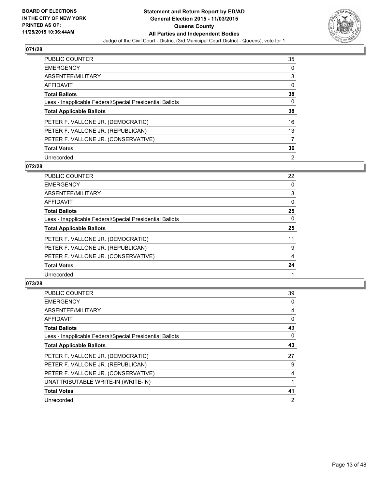

| PUBLIC COUNTER                                           | 35 |
|----------------------------------------------------------|----|
| <b>EMERGENCY</b>                                         | 0  |
| ABSENTEE/MILITARY                                        | 3  |
| <b>AFFIDAVIT</b>                                         | 0  |
| <b>Total Ballots</b>                                     | 38 |
| Less - Inapplicable Federal/Special Presidential Ballots | 0  |
| <b>Total Applicable Ballots</b>                          | 38 |
| PETER F. VALLONE JR. (DEMOCRATIC)                        | 16 |
| PETER F. VALLONE JR. (REPUBLICAN)                        | 13 |
| PETER F. VALLONE JR. (CONSERVATIVE)                      |    |
| <b>Total Votes</b>                                       | 36 |
| Unrecorded                                               | 2  |

### **072/28**

| PUBLIC COUNTER                                           | 22 |
|----------------------------------------------------------|----|
| <b>EMERGENCY</b>                                         | 0  |
| ABSENTEE/MILITARY                                        | 3  |
| <b>AFFIDAVIT</b>                                         | 0  |
| <b>Total Ballots</b>                                     | 25 |
| Less - Inapplicable Federal/Special Presidential Ballots | 0  |
| <b>Total Applicable Ballots</b>                          | 25 |
| PETER F. VALLONE JR. (DEMOCRATIC)                        | 11 |
| PETER F. VALLONE JR. (REPUBLICAN)                        | 9  |
| PETER F. VALLONE JR. (CONSERVATIVE)                      | 4  |
| <b>Total Votes</b>                                       | 24 |
| Unrecorded                                               |    |
|                                                          |    |

| PUBLIC COUNTER                                           | 39 |
|----------------------------------------------------------|----|
| <b>EMERGENCY</b>                                         | 0  |
| ABSENTEE/MILITARY                                        | 4  |
| AFFIDAVIT                                                | 0  |
| <b>Total Ballots</b>                                     | 43 |
| Less - Inapplicable Federal/Special Presidential Ballots | 0  |
| <b>Total Applicable Ballots</b>                          | 43 |
| PETER F. VALLONE JR. (DEMOCRATIC)                        | 27 |
| PETER F. VALLONE JR. (REPUBLICAN)                        | 9  |
| PETER F. VALLONE JR. (CONSERVATIVE)                      | 4  |
| UNATTRIBUTABLE WRITE-IN (WRITE-IN)                       |    |
| <b>Total Votes</b>                                       | 41 |
| Unrecorded                                               | 2  |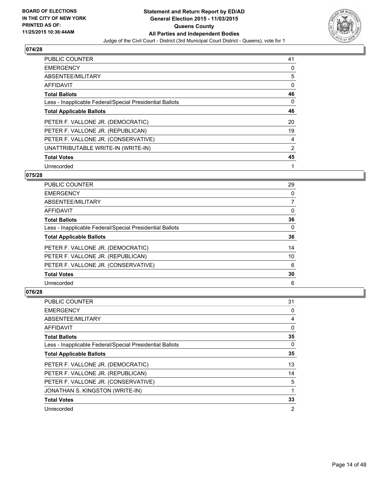

| <b>PUBLIC COUNTER</b>                                    | 41 |
|----------------------------------------------------------|----|
| <b>EMERGENCY</b>                                         | 0  |
| ABSENTEE/MILITARY                                        | 5  |
| <b>AFFIDAVIT</b>                                         | 0  |
| <b>Total Ballots</b>                                     | 46 |
| Less - Inapplicable Federal/Special Presidential Ballots | 0  |
| <b>Total Applicable Ballots</b>                          | 46 |
| PETER F. VALLONE JR. (DEMOCRATIC)                        | 20 |
| PETER F. VALLONE JR. (REPUBLICAN)                        | 19 |
| PETER F. VALLONE JR. (CONSERVATIVE)                      | 4  |
| UNATTRIBUTABLE WRITE-IN (WRITE-IN)                       | 2  |
| <b>Total Votes</b>                                       | 45 |
| Unrecorded                                               | 1  |

### **075/28**

| <b>PUBLIC COUNTER</b>                                    | 29 |
|----------------------------------------------------------|----|
| <b>EMERGENCY</b>                                         | 0  |
| ABSENTEE/MILITARY                                        | 7  |
| AFFIDAVIT                                                | 0  |
| <b>Total Ballots</b>                                     | 36 |
| Less - Inapplicable Federal/Special Presidential Ballots | 0  |
| <b>Total Applicable Ballots</b>                          | 36 |
| PETER F. VALLONE JR. (DEMOCRATIC)                        | 14 |
| PETER F. VALLONE JR. (REPUBLICAN)                        | 10 |
| PETER F. VALLONE JR. (CONSERVATIVE)                      | 6  |
| <b>Total Votes</b>                                       | 30 |
| Unrecorded                                               | 6  |

| <b>PUBLIC COUNTER</b>                                    | 31             |
|----------------------------------------------------------|----------------|
| <b>EMERGENCY</b>                                         | 0              |
| ABSENTEE/MILITARY                                        | 4              |
| AFFIDAVIT                                                | 0              |
| <b>Total Ballots</b>                                     | 35             |
| Less - Inapplicable Federal/Special Presidential Ballots | 0              |
| <b>Total Applicable Ballots</b>                          | 35             |
| PETER F. VALLONE JR. (DEMOCRATIC)                        | 13             |
| PETER F. VALLONE JR. (REPUBLICAN)                        | 14             |
| PETER F. VALLONE JR. (CONSERVATIVE)                      | 5              |
| JONATHAN S. KINGSTON (WRITE-IN)                          |                |
| <b>Total Votes</b>                                       | 33             |
| Unrecorded                                               | $\overline{2}$ |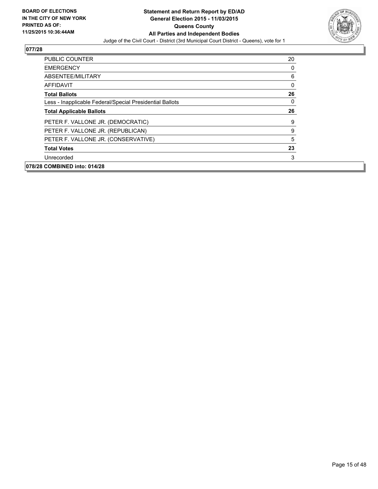

| <b>PUBLIC COUNTER</b>                                    | 20 |
|----------------------------------------------------------|----|
| <b>EMERGENCY</b>                                         | 0  |
| ABSENTEE/MILITARY                                        | 6  |
| AFFIDAVIT                                                | 0  |
| <b>Total Ballots</b>                                     | 26 |
| Less - Inapplicable Federal/Special Presidential Ballots | 0  |
| <b>Total Applicable Ballots</b>                          | 26 |
| PETER F. VALLONE JR. (DEMOCRATIC)                        | 9  |
| PETER F. VALLONE JR. (REPUBLICAN)                        | 9  |
| PETER F. VALLONE JR. (CONSERVATIVE)                      | 5  |
| <b>Total Votes</b>                                       | 23 |
| Unrecorded                                               | 3  |
| 078/28 COMBINED into: 014/28                             |    |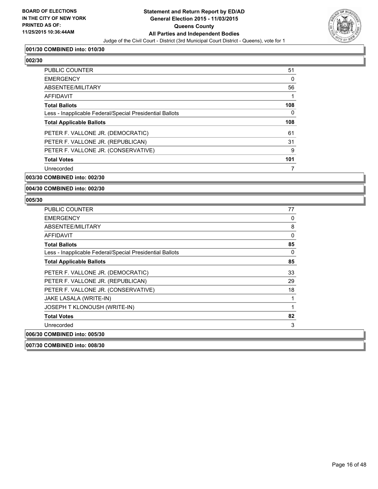

### **001/30 COMBINED into: 010/30**

**002/30** 

| 51  |
|-----|
| 0   |
| 56  |
|     |
| 108 |
| 0   |
| 108 |
| 61  |
| 31  |
| 9   |
| 101 |
|     |
|     |

#### **003/30 COMBINED into: 002/30**

**004/30 COMBINED into: 002/30**

| <b>PUBLIC COUNTER</b>                                    | 77 |
|----------------------------------------------------------|----|
| <b>EMERGENCY</b>                                         | 0  |
| ABSENTEE/MILITARY                                        | 8  |
| <b>AFFIDAVIT</b>                                         | 0  |
| <b>Total Ballots</b>                                     | 85 |
| Less - Inapplicable Federal/Special Presidential Ballots | 0  |
| <b>Total Applicable Ballots</b>                          | 85 |
| PETER F. VALLONE JR. (DEMOCRATIC)                        | 33 |
| PETER F. VALLONE JR. (REPUBLICAN)                        | 29 |
| PETER F. VALLONE JR. (CONSERVATIVE)                      | 18 |
| JAKE LASALA (WRITE-IN)                                   | 1  |
| JOSEPH T KLONOUSH (WRITE-IN)                             | 1  |
| <b>Total Votes</b>                                       | 82 |
| Unrecorded                                               | 3  |
| 006/30 COMBINED into: 005/30                             |    |
| 007/30 COMBINED into: 008/30                             |    |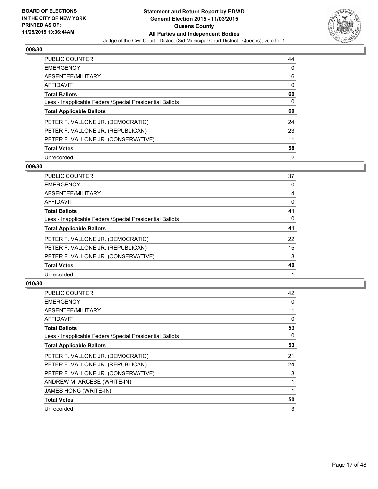

| <b>PUBLIC COUNTER</b>                                    | 44 |
|----------------------------------------------------------|----|
| <b>EMERGENCY</b>                                         | 0  |
| ABSENTEE/MILITARY                                        | 16 |
| <b>AFFIDAVIT</b>                                         | 0  |
| <b>Total Ballots</b>                                     | 60 |
| Less - Inapplicable Federal/Special Presidential Ballots | 0  |
| <b>Total Applicable Ballots</b>                          | 60 |
| PETER F. VALLONE JR. (DEMOCRATIC)                        | 24 |
| PETER F. VALLONE JR. (REPUBLICAN)                        | 23 |
| PETER F. VALLONE JR. (CONSERVATIVE)                      | 11 |
| <b>Total Votes</b>                                       | 58 |
|                                                          |    |

### **009/30**

| PUBLIC COUNTER                                           | 37 |
|----------------------------------------------------------|----|
| <b>EMERGENCY</b>                                         | 0  |
| ABSENTEE/MILITARY                                        | 4  |
| <b>AFFIDAVIT</b>                                         | 0  |
| <b>Total Ballots</b>                                     | 41 |
| Less - Inapplicable Federal/Special Presidential Ballots | 0  |
| <b>Total Applicable Ballots</b>                          | 41 |
| PETER F. VALLONE JR. (DEMOCRATIC)                        | 22 |
| PETER F. VALLONE JR. (REPUBLICAN)                        | 15 |
| PETER F. VALLONE JR. (CONSERVATIVE)                      | 3  |
| <b>Total Votes</b>                                       | 40 |
| Unrecorded                                               |    |
|                                                          |    |

| PUBLIC COUNTER                                           | 42 |
|----------------------------------------------------------|----|
| <b>EMERGENCY</b>                                         | 0  |
| ABSENTEE/MILITARY                                        | 11 |
| AFFIDAVIT                                                | 0  |
| <b>Total Ballots</b>                                     | 53 |
| Less - Inapplicable Federal/Special Presidential Ballots | 0  |
| <b>Total Applicable Ballots</b>                          | 53 |
| PETER F. VALLONE JR. (DEMOCRATIC)                        | 21 |
| PETER F. VALLONE JR. (REPUBLICAN)                        | 24 |
| PETER F. VALLONE JR. (CONSERVATIVE)                      | 3  |
| ANDREW M. ARCESE (WRITE-IN)                              |    |
| JAMES HONG (WRITE-IN)                                    |    |
| <b>Total Votes</b>                                       | 50 |
| Unrecorded                                               | 3  |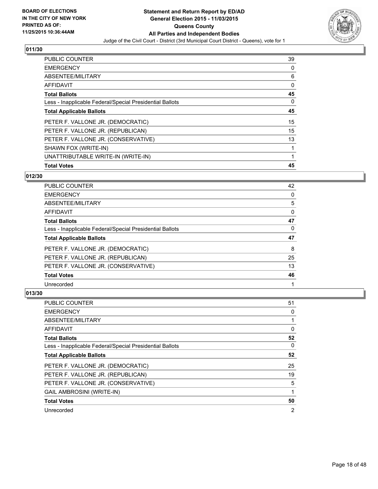

| <b>PUBLIC COUNTER</b>                                    | 39 |
|----------------------------------------------------------|----|
| <b>EMERGENCY</b>                                         | 0  |
| ABSENTEE/MILITARY                                        | 6  |
| AFFIDAVIT                                                | 0  |
| <b>Total Ballots</b>                                     | 45 |
| Less - Inapplicable Federal/Special Presidential Ballots | 0  |
| <b>Total Applicable Ballots</b>                          | 45 |
| PETER F. VALLONE JR. (DEMOCRATIC)                        | 15 |
| PETER F. VALLONE JR. (REPUBLICAN)                        | 15 |
| PETER F. VALLONE JR. (CONSERVATIVE)                      | 13 |
| SHAWN FOX (WRITE-IN)                                     | 1  |
| UNATTRIBUTABLE WRITE-IN (WRITE-IN)                       | 1  |
| <b>Total Votes</b>                                       | 45 |

### **012/30**

| PUBLIC COUNTER                                           | 42 |
|----------------------------------------------------------|----|
| <b>EMERGENCY</b>                                         | 0  |
| ABSENTEE/MILITARY                                        | 5  |
| <b>AFFIDAVIT</b>                                         | 0  |
| <b>Total Ballots</b>                                     | 47 |
| Less - Inapplicable Federal/Special Presidential Ballots | 0  |
| <b>Total Applicable Ballots</b>                          | 47 |
| PETER F. VALLONE JR. (DEMOCRATIC)                        | 8  |
| PETER F. VALLONE JR. (REPUBLICAN)                        | 25 |
| PETER F. VALLONE JR. (CONSERVATIVE)                      | 13 |
| <b>Total Votes</b>                                       | 46 |
|                                                          |    |

| <b>PUBLIC COUNTER</b>                                    | 51 |
|----------------------------------------------------------|----|
| <b>EMERGENCY</b>                                         | 0  |
| ABSENTEE/MILITARY                                        |    |
| AFFIDAVIT                                                | 0  |
| <b>Total Ballots</b>                                     | 52 |
| Less - Inapplicable Federal/Special Presidential Ballots | 0  |
| <b>Total Applicable Ballots</b>                          | 52 |
| PETER F. VALLONE JR. (DEMOCRATIC)                        | 25 |
| PETER F. VALLONE JR. (REPUBLICAN)                        | 19 |
| PETER F. VALLONE JR. (CONSERVATIVE)                      | 5  |
| <b>GAIL AMBROSINI (WRITE-IN)</b>                         |    |
| <b>Total Votes</b>                                       | 50 |
| Unrecorded                                               | 2  |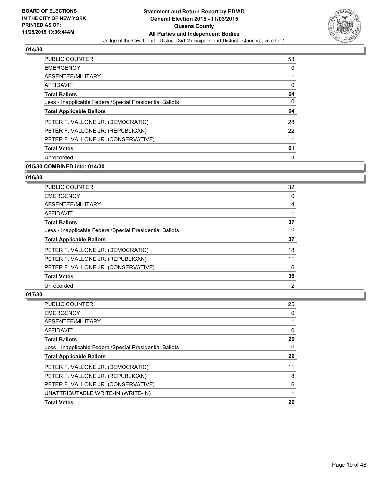

| <b>PUBLIC COUNTER</b>                                    | 53 |
|----------------------------------------------------------|----|
| <b>EMERGENCY</b>                                         | 0  |
| ABSENTEE/MILITARY                                        | 11 |
| AFFIDAVIT                                                | 0  |
| <b>Total Ballots</b>                                     | 64 |
| Less - Inapplicable Federal/Special Presidential Ballots | 0  |
| <b>Total Applicable Ballots</b>                          | 64 |
| PETER F. VALLONE JR. (DEMOCRATIC)                        | 28 |
| PETER F. VALLONE JR. (REPUBLICAN)                        | 22 |
| PETER F. VALLONE JR. (CONSERVATIVE)                      | 11 |
| <b>Total Votes</b>                                       | 61 |
| Unrecorded                                               | 3  |

# **015/30 COMBINED into: 014/30**

### **016/30**

| PUBLIC COUNTER                                           | 32             |
|----------------------------------------------------------|----------------|
| <b>EMERGENCY</b>                                         | 0              |
| ABSENTEE/MILITARY                                        | 4              |
| <b>AFFIDAVIT</b>                                         |                |
| <b>Total Ballots</b>                                     | 37             |
| Less - Inapplicable Federal/Special Presidential Ballots | $\Omega$       |
| <b>Total Applicable Ballots</b>                          | 37             |
| PETER F. VALLONE JR. (DEMOCRATIC)                        | 18             |
| PETER F. VALLONE JR. (REPUBLICAN)                        | 11             |
| PETER F. VALLONE JR. (CONSERVATIVE)                      | 6              |
| <b>Total Votes</b>                                       | 35             |
| Unrecorded                                               | $\overline{2}$ |

| PUBLIC COUNTER                                           | 25 |
|----------------------------------------------------------|----|
| <b>EMERGENCY</b>                                         | 0  |
| ABSENTEE/MILITARY                                        |    |
| AFFIDAVIT                                                | 0  |
| <b>Total Ballots</b>                                     | 26 |
| Less - Inapplicable Federal/Special Presidential Ballots | 0  |
| <b>Total Applicable Ballots</b>                          | 26 |
| PETER F. VALLONE JR. (DEMOCRATIC)                        | 11 |
| PETER F. VALLONE JR. (REPUBLICAN)                        | 8  |
| PETER F. VALLONE JR. (CONSERVATIVE)                      | 6  |
| UNATTRIBUTABLE WRITE-IN (WRITE-IN)                       |    |
| <b>Total Votes</b>                                       | 26 |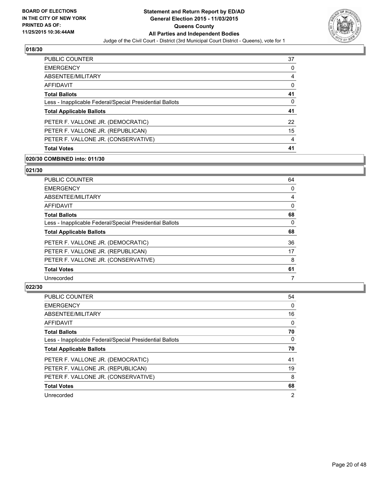

| <b>PUBLIC COUNTER</b>                                    | 37 |
|----------------------------------------------------------|----|
| <b>EMERGENCY</b>                                         | 0  |
| ABSENTEE/MILITARY                                        | 4  |
| AFFIDAVIT                                                | 0  |
| <b>Total Ballots</b>                                     | 41 |
| Less - Inapplicable Federal/Special Presidential Ballots | 0  |
| <b>Total Applicable Ballots</b>                          | 41 |
| PETER F. VALLONE JR. (DEMOCRATIC)                        | 22 |
| PETER F. VALLONE JR. (REPUBLICAN)                        | 15 |
| PETER F. VALLONE JR. (CONSERVATIVE)                      | 4  |
| <b>Total Votes</b>                                       | 41 |

#### **020/30 COMBINED into: 011/30**

#### **021/30**

| PUBLIC COUNTER                                           | 64 |
|----------------------------------------------------------|----|
| <b>EMERGENCY</b>                                         | 0  |
| <b>ABSENTEE/MILITARY</b>                                 | 4  |
| <b>AFFIDAVIT</b>                                         | 0  |
| <b>Total Ballots</b>                                     | 68 |
| Less - Inapplicable Federal/Special Presidential Ballots | 0  |
| <b>Total Applicable Ballots</b>                          | 68 |
| PETER F. VALLONE JR. (DEMOCRATIC)                        | 36 |
| PETER F. VALLONE JR. (REPUBLICAN)                        | 17 |
| PETER F. VALLONE JR. (CONSERVATIVE)                      | 8  |
| <b>Total Votes</b>                                       | 61 |
| Unrecorded                                               | 7  |

| <b>PUBLIC COUNTER</b>                                    | 54 |
|----------------------------------------------------------|----|
| <b>EMERGENCY</b>                                         | 0  |
| ABSENTEE/MILITARY                                        | 16 |
| AFFIDAVIT                                                | 0  |
| <b>Total Ballots</b>                                     | 70 |
| Less - Inapplicable Federal/Special Presidential Ballots | 0  |
| <b>Total Applicable Ballots</b>                          | 70 |
|                                                          |    |
| PETER F. VALLONE JR. (DEMOCRATIC)                        | 41 |
| PETER F. VALLONE JR. (REPUBLICAN)                        | 19 |
| PETER F. VALLONE JR. (CONSERVATIVE)                      | 8  |
| <b>Total Votes</b>                                       | 68 |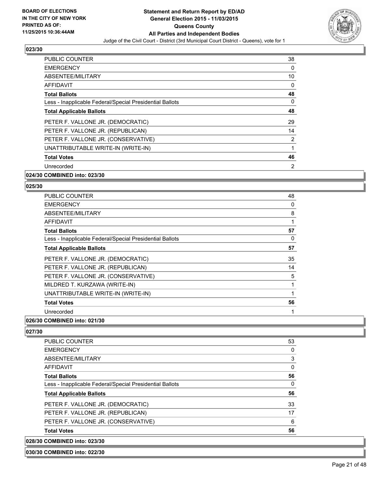

| PUBLIC COUNTER                                           | 38 |
|----------------------------------------------------------|----|
| <b>EMERGENCY</b>                                         | 0  |
| ABSENTEE/MILITARY                                        | 10 |
| AFFIDAVIT                                                | 0  |
| <b>Total Ballots</b>                                     | 48 |
| Less - Inapplicable Federal/Special Presidential Ballots | 0  |
| <b>Total Applicable Ballots</b>                          | 48 |
| PETER F. VALLONE JR. (DEMOCRATIC)                        | 29 |
| PETER F. VALLONE JR. (REPUBLICAN)                        | 14 |
| PETER F. VALLONE JR. (CONSERVATIVE)                      | 2  |
| UNATTRIBUTABLE WRITE-IN (WRITE-IN)                       | 1  |
| <b>Total Votes</b>                                       | 46 |
| Unrecorded                                               | 2  |
| 024/30 COMBINED into: 023/30                             |    |

### **025/30**

| PUBLIC COUNTER                                           | 48 |
|----------------------------------------------------------|----|
| <b>EMERGENCY</b>                                         | 0  |
| ABSENTEE/MILITARY                                        | 8  |
| AFFIDAVIT                                                | 1  |
| <b>Total Ballots</b>                                     | 57 |
| Less - Inapplicable Federal/Special Presidential Ballots | 0  |
| <b>Total Applicable Ballots</b>                          | 57 |
| PETER F. VALLONE JR. (DEMOCRATIC)                        | 35 |
| PETER F. VALLONE JR. (REPUBLICAN)                        | 14 |
| PETER F. VALLONE JR. (CONSERVATIVE)                      | 5  |
| MILDRED T. KURZAWA (WRITE-IN)                            | 1  |
| UNATTRIBUTABLE WRITE-IN (WRITE-IN)                       | 1  |
| <b>Total Votes</b>                                       | 56 |
| Unrecorded                                               | 1  |

# **026/30 COMBINED into: 021/30**

**027/30** 

| 028/30 COMBINED into: 023/30                             |    |
|----------------------------------------------------------|----|
| <b>Total Votes</b>                                       | 56 |
| PETER F. VALLONE JR. (CONSERVATIVE)                      | 6  |
| PETER F. VALLONE JR. (REPUBLICAN)                        | 17 |
| PETER F. VALLONE JR. (DEMOCRATIC)                        | 33 |
| <b>Total Applicable Ballots</b>                          | 56 |
| Less - Inapplicable Federal/Special Presidential Ballots | 0  |
| <b>Total Ballots</b>                                     | 56 |
| <b>AFFIDAVIT</b>                                         | 0  |
| ABSENTEE/MILITARY                                        | 3  |
| <b>EMERGENCY</b>                                         | 0  |
| <b>PUBLIC COUNTER</b>                                    | 53 |

### **030/30 COMBINED into: 022/30**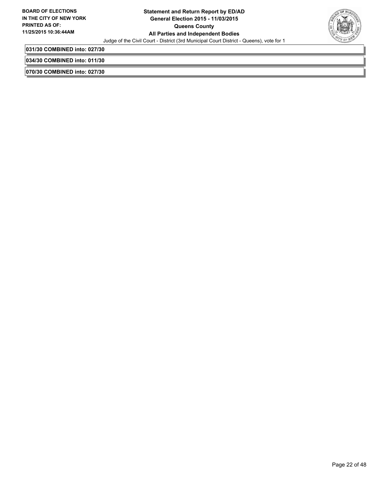

**031/30 COMBINED into: 027/30**

**034/30 COMBINED into: 011/30**

**070/30 COMBINED into: 027/30**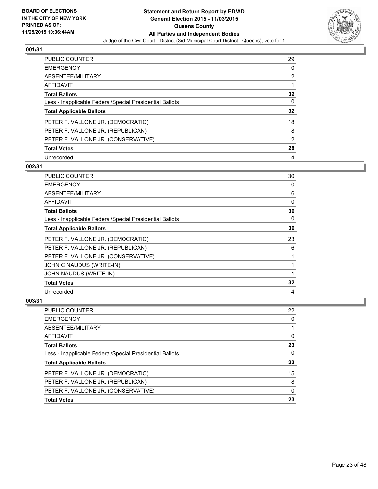

| <b>PUBLIC COUNTER</b>                                    | 29             |
|----------------------------------------------------------|----------------|
| <b>EMERGENCY</b>                                         | 0              |
| ABSENTEE/MILITARY                                        | 2              |
| <b>AFFIDAVIT</b>                                         |                |
| <b>Total Ballots</b>                                     | 32             |
| Less - Inapplicable Federal/Special Presidential Ballots | 0              |
| <b>Total Applicable Ballots</b>                          | 32             |
| PETER F. VALLONE JR. (DEMOCRATIC)                        | 18             |
| PETER F. VALLONE JR. (REPUBLICAN)                        | 8              |
| PETER F. VALLONE JR. (CONSERVATIVE)                      | $\overline{2}$ |
| <b>Total Votes</b>                                       | 28             |
| Unrecorded                                               | 4              |

### **002/31**

| PUBLIC COUNTER                                           | 30 |
|----------------------------------------------------------|----|
| <b>EMERGENCY</b>                                         | 0  |
| ABSENTEE/MILITARY                                        | 6  |
| <b>AFFIDAVIT</b>                                         | 0  |
| <b>Total Ballots</b>                                     | 36 |
| Less - Inapplicable Federal/Special Presidential Ballots | 0  |
| <b>Total Applicable Ballots</b>                          | 36 |
| PETER F. VALLONE JR. (DEMOCRATIC)                        | 23 |
| PETER F. VALLONE JR. (REPUBLICAN)                        | 6  |
| PETER F. VALLONE JR. (CONSERVATIVE)                      | 1  |
| JOHN C NAUDUS (WRITE-IN)                                 | 1  |
| JOHN NAUDUS (WRITE-IN)                                   | 1  |
| <b>Total Votes</b>                                       | 32 |
| Unrecorded                                               | 4  |

| PUBLIC COUNTER                                           | 22       |
|----------------------------------------------------------|----------|
| <b>EMERGENCY</b>                                         | 0        |
| ABSENTEE/MILITARY                                        |          |
| <b>AFFIDAVIT</b>                                         | 0        |
| <b>Total Ballots</b>                                     | 23       |
| Less - Inapplicable Federal/Special Presidential Ballots | 0        |
| <b>Total Applicable Ballots</b>                          | 23       |
| PETER F. VALLONE JR. (DEMOCRATIC)                        | 15       |
| PETER F. VALLONE JR. (REPUBLICAN)                        | 8        |
| PETER F. VALLONE JR. (CONSERVATIVE)                      | $\Omega$ |
| <b>Total Votes</b>                                       | 23       |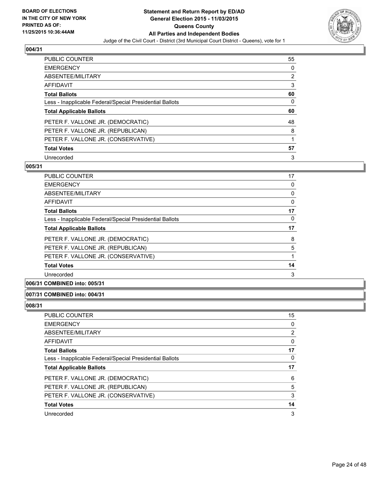

| <b>PUBLIC COUNTER</b>                                    | 55 |
|----------------------------------------------------------|----|
| <b>EMERGENCY</b>                                         | 0  |
| ABSENTEE/MILITARY                                        | 2  |
| <b>AFFIDAVIT</b>                                         | 3  |
| <b>Total Ballots</b>                                     | 60 |
| Less - Inapplicable Federal/Special Presidential Ballots | 0  |
| <b>Total Applicable Ballots</b>                          | 60 |
|                                                          |    |
| PETER F. VALLONE JR. (DEMOCRATIC)                        | 48 |
| PETER F. VALLONE JR. (REPUBLICAN)                        | 8  |
| PETER F. VALLONE JR. (CONSERVATIVE)                      |    |
| <b>Total Votes</b>                                       | 57 |

### **005/31**

| 17 |
|----|
| 0  |
| 0  |
| 0  |
| 17 |
| 0  |
| 17 |
| 8  |
| 5  |
|    |
| 14 |
| 3  |
|    |

### **006/31 COMBINED into: 005/31**

### **007/31 COMBINED into: 004/31**

| <b>PUBLIC COUNTER</b>                                    | 15 |
|----------------------------------------------------------|----|
| <b>EMERGENCY</b>                                         | 0  |
| ABSENTEE/MILITARY                                        | 2  |
| AFFIDAVIT                                                | 0  |
| <b>Total Ballots</b>                                     | 17 |
| Less - Inapplicable Federal/Special Presidential Ballots | 0  |
|                                                          |    |
| <b>Total Applicable Ballots</b>                          | 17 |
| PETER F. VALLONE JR. (DEMOCRATIC)                        | 6  |
| PETER F. VALLONE JR. (REPUBLICAN)                        | 5  |
| PETER F. VALLONE JR. (CONSERVATIVE)                      | 3  |
| <b>Total Votes</b>                                       | 14 |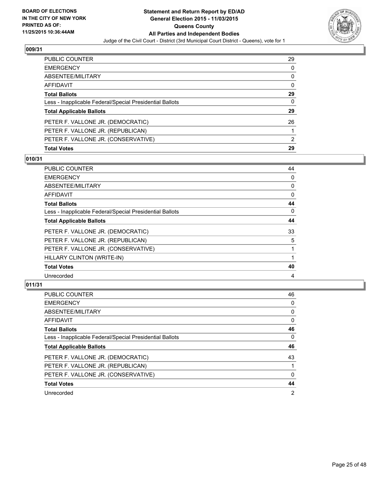

| PUBLIC COUNTER                                           | 29 |
|----------------------------------------------------------|----|
| <b>EMERGENCY</b>                                         | 0  |
| ABSENTEE/MILITARY                                        | 0  |
| AFFIDAVIT                                                | 0  |
| <b>Total Ballots</b>                                     | 29 |
| Less - Inapplicable Federal/Special Presidential Ballots | 0  |
| <b>Total Applicable Ballots</b>                          | 29 |
| PETER F. VALLONE JR. (DEMOCRATIC)                        | 26 |
| PETER F. VALLONE JR. (REPUBLICAN)                        |    |
| PETER F. VALLONE JR. (CONSERVATIVE)                      | 2  |
| <b>Total Votes</b>                                       | 29 |

# **010/31**

| PUBLIC COUNTER                                           | 44          |
|----------------------------------------------------------|-------------|
| <b>EMERGENCY</b>                                         | 0           |
| ABSENTEE/MILITARY                                        | 0           |
| AFFIDAVIT                                                | $\mathbf 0$ |
| <b>Total Ballots</b>                                     | 44          |
| Less - Inapplicable Federal/Special Presidential Ballots | $\Omega$    |
| <b>Total Applicable Ballots</b>                          | 44          |
| PETER F. VALLONE JR. (DEMOCRATIC)                        | 33          |
| PETER F. VALLONE JR. (REPUBLICAN)                        | 5           |
| PETER F. VALLONE JR. (CONSERVATIVE)                      | 1           |
| HILLARY CLINTON (WRITE-IN)                               |             |
| <b>Total Votes</b>                                       | 40          |
| Unrecorded                                               | 4           |
|                                                          |             |

| <b>PUBLIC COUNTER</b>                                    | 46             |
|----------------------------------------------------------|----------------|
| <b>EMERGENCY</b>                                         | 0              |
| ABSENTEE/MILITARY                                        | 0              |
| <b>AFFIDAVIT</b>                                         | 0              |
| <b>Total Ballots</b>                                     | 46             |
| Less - Inapplicable Federal/Special Presidential Ballots | 0              |
| <b>Total Applicable Ballots</b>                          | 46             |
| PETER F. VALLONE JR. (DEMOCRATIC)                        | 43             |
| PETER F. VALLONE JR. (REPUBLICAN)                        |                |
| PETER F. VALLONE JR. (CONSERVATIVE)                      | $\Omega$       |
| <b>Total Votes</b>                                       | 44             |
| Unrecorded                                               | $\overline{2}$ |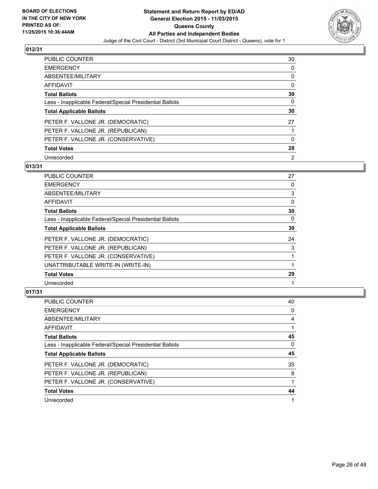

| PUBLIC COUNTER                                           | 30 |
|----------------------------------------------------------|----|
| <b>EMERGENCY</b>                                         | 0  |
| ABSENTEE/MILITARY                                        | 0  |
| <b>AFFIDAVIT</b>                                         | 0  |
| <b>Total Ballots</b>                                     | 30 |
| Less - Inapplicable Federal/Special Presidential Ballots | 0  |
| <b>Total Applicable Ballots</b>                          | 30 |
| PETER F. VALLONE JR. (DEMOCRATIC)                        | 27 |
| PETER F. VALLONE JR. (REPUBLICAN)                        |    |
| PETER F. VALLONE JR. (CONSERVATIVE)                      | 0  |
| <b>Total Votes</b>                                       | 28 |
| Unrecorded                                               | 2  |

### **013/31**

| PUBLIC COUNTER                                           | 27 |
|----------------------------------------------------------|----|
| <b>EMERGENCY</b>                                         | 0  |
| ABSENTEE/MILITARY                                        | 3  |
| <b>AFFIDAVIT</b>                                         | 0  |
| <b>Total Ballots</b>                                     | 30 |
| Less - Inapplicable Federal/Special Presidential Ballots | 0  |
| <b>Total Applicable Ballots</b>                          | 30 |
| PETER F. VALLONE JR. (DEMOCRATIC)                        | 24 |
| PETER F. VALLONE JR. (REPUBLICAN)                        | 3  |
| PETER F. VALLONE JR. (CONSERVATIVE)                      |    |
| UNATTRIBUTABLE WRITE-IN (WRITE-IN)                       |    |
| <b>Total Votes</b>                                       | 29 |
| Unrecorded                                               |    |

| <b>PUBLIC COUNTER</b>                                    | 40 |
|----------------------------------------------------------|----|
| <b>EMERGENCY</b>                                         | 0  |
| ABSENTEE/MILITARY                                        | 4  |
| AFFIDAVIT                                                |    |
| <b>Total Ballots</b>                                     | 45 |
| Less - Inapplicable Federal/Special Presidential Ballots | 0  |
|                                                          |    |
| <b>Total Applicable Ballots</b>                          | 45 |
| PETER F. VALLONE JR. (DEMOCRATIC)                        | 35 |
| PETER F. VALLONE JR. (REPUBLICAN)                        | 8  |
| PETER F. VALLONE JR. (CONSERVATIVE)                      |    |
| <b>Total Votes</b>                                       | 44 |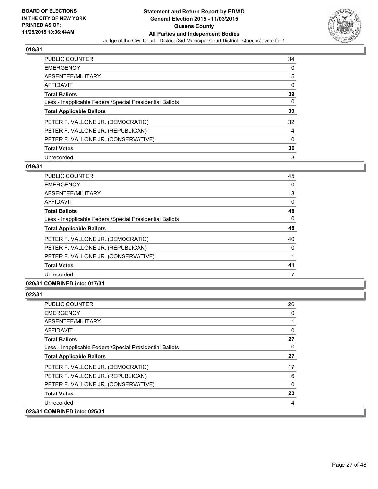

| <b>PUBLIC COUNTER</b>                                    | 34 |
|----------------------------------------------------------|----|
| <b>EMERGENCY</b>                                         | 0  |
| ABSENTEE/MILITARY                                        | 5  |
| <b>AFFIDAVIT</b>                                         | 0  |
| <b>Total Ballots</b>                                     | 39 |
| Less - Inapplicable Federal/Special Presidential Ballots | 0  |
| <b>Total Applicable Ballots</b>                          | 39 |
| PETER F. VALLONE JR. (DEMOCRATIC)                        | 32 |
| PETER F. VALLONE JR. (REPUBLICAN)                        | 4  |
| PETER F. VALLONE JR. (CONSERVATIVE)                      | 0  |
| <b>Total Votes</b>                                       | 36 |
| Unrecorded                                               | 3  |

### **019/31**

| <b>PUBLIC COUNTER</b>                                    | 45       |
|----------------------------------------------------------|----------|
| <b>EMERGENCY</b>                                         | 0        |
| ABSENTEE/MILITARY                                        | 3        |
| AFFIDAVIT                                                | 0        |
| <b>Total Ballots</b>                                     | 48       |
| Less - Inapplicable Federal/Special Presidential Ballots | $\Omega$ |
| <b>Total Applicable Ballots</b>                          | 48       |
| PETER F. VALLONE JR. (DEMOCRATIC)                        | 40       |
| PETER F. VALLONE JR. (REPUBLICAN)                        | 0        |
| PETER F. VALLONE JR. (CONSERVATIVE)                      |          |
| <b>Total Votes</b>                                       | 41       |
| Unrecorded                                               | 7        |
|                                                          |          |

### **020/31 COMBINED into: 017/31**

| <b>PUBLIC COUNTER</b>                                    | 26 |
|----------------------------------------------------------|----|
| <b>EMERGENCY</b>                                         | 0  |
| ABSENTEE/MILITARY                                        | 1  |
| <b>AFFIDAVIT</b>                                         | 0  |
| <b>Total Ballots</b>                                     | 27 |
| Less - Inapplicable Federal/Special Presidential Ballots | 0  |
| <b>Total Applicable Ballots</b>                          | 27 |
| PETER F. VALLONE JR. (DEMOCRATIC)                        | 17 |
| PETER F. VALLONE JR. (REPUBLICAN)                        | 6  |
| PETER F. VALLONE JR. (CONSERVATIVE)                      | 0  |
| <b>Total Votes</b>                                       | 23 |
| Unrecorded                                               | 4  |
| 023/31 COMBINED into: 025/31                             |    |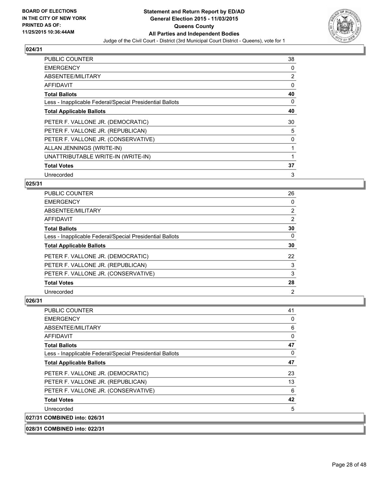

| <b>PUBLIC COUNTER</b>                                    | 38 |
|----------------------------------------------------------|----|
| <b>EMERGENCY</b>                                         | 0  |
| ABSENTEE/MILITARY                                        | 2  |
| AFFIDAVIT                                                | 0  |
| <b>Total Ballots</b>                                     | 40 |
| Less - Inapplicable Federal/Special Presidential Ballots | 0  |
| <b>Total Applicable Ballots</b>                          | 40 |
| PETER F. VALLONE JR. (DEMOCRATIC)                        | 30 |
| PETER F. VALLONE JR. (REPUBLICAN)                        | 5  |
| PETER F. VALLONE JR. (CONSERVATIVE)                      | 0  |
| ALLAN JENNINGS (WRITE-IN)                                | 1  |
| UNATTRIBUTABLE WRITE-IN (WRITE-IN)                       |    |
| <b>Total Votes</b>                                       | 37 |
| Unrecorded                                               | 3  |

# **025/31**

| <b>PUBLIC COUNTER</b>                                    | 26 |
|----------------------------------------------------------|----|
| <b>EMERGENCY</b>                                         | 0  |
| ABSENTEE/MILITARY                                        | 2  |
| AFFIDAVIT                                                | 2  |
| <b>Total Ballots</b>                                     | 30 |
| Less - Inapplicable Federal/Special Presidential Ballots | 0  |
| <b>Total Applicable Ballots</b>                          | 30 |
| PETER F. VALLONE JR. (DEMOCRATIC)                        | 22 |
| PETER F. VALLONE JR. (REPUBLICAN)                        | 3  |
| PETER F. VALLONE JR. (CONSERVATIVE)                      | 3  |
| <b>Total Votes</b>                                       | 28 |
| Unrecorded                                               | 2  |

# **026/31**

| <b>PUBLIC COUNTER</b>                                    | 41 |
|----------------------------------------------------------|----|
| <b>EMERGENCY</b>                                         | 0  |
| ABSENTEE/MILITARY                                        | 6  |
| AFFIDAVIT                                                | 0  |
| <b>Total Ballots</b>                                     | 47 |
| Less - Inapplicable Federal/Special Presidential Ballots | 0  |
| <b>Total Applicable Ballots</b>                          | 47 |
| PETER F. VALLONE JR. (DEMOCRATIC)                        | 23 |
| PETER F. VALLONE JR. (REPUBLICAN)                        | 13 |
| PETER F. VALLONE JR. (CONSERVATIVE)                      | 6  |
| <b>Total Votes</b>                                       | 42 |
| Unrecorded                                               | 5  |
| 027/31 COMBINED into: 026/31                             |    |

**028/31 COMBINED into: 022/31**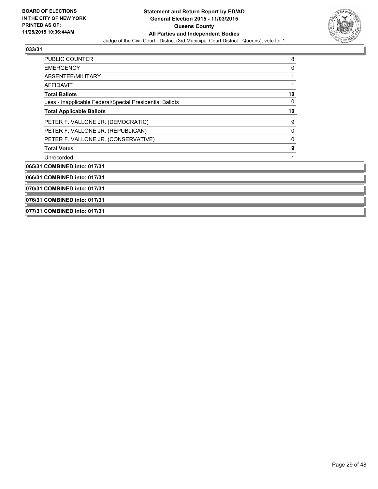

| <b>PUBLIC COUNTER</b>                                    | 8  |  |
|----------------------------------------------------------|----|--|
| <b>EMERGENCY</b>                                         | 0  |  |
| ABSENTEE/MILITARY                                        |    |  |
| <b>AFFIDAVIT</b>                                         |    |  |
| <b>Total Ballots</b>                                     | 10 |  |
| Less - Inapplicable Federal/Special Presidential Ballots | 0  |  |
| <b>Total Applicable Ballots</b>                          | 10 |  |
| PETER F. VALLONE JR. (DEMOCRATIC)                        | 9  |  |
| PETER F. VALLONE JR. (REPUBLICAN)                        | 0  |  |
| PETER F. VALLONE JR. (CONSERVATIVE)                      | 0  |  |
| <b>Total Votes</b>                                       | 9  |  |
| Unrecorded                                               |    |  |
| 065/31 COMBINED into: 017/31                             |    |  |
| 066/31 COMBINED into: 017/31                             |    |  |
| 070/31 COMBINED into: 017/31                             |    |  |
| 076/31 COMBINED into: 017/31                             |    |  |
| 077/31 COMBINED into: 017/31                             |    |  |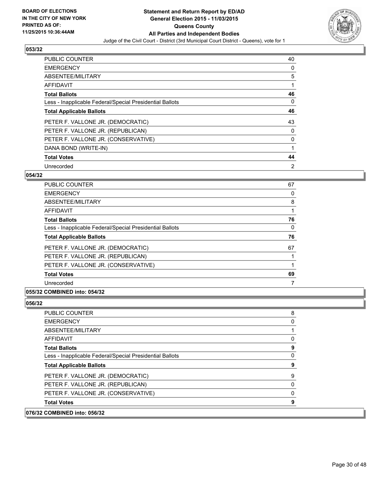

| <b>PUBLIC COUNTER</b>                                    | 40             |
|----------------------------------------------------------|----------------|
| <b>EMERGENCY</b>                                         | 0              |
| ABSENTEE/MILITARY                                        | 5              |
| AFFIDAVIT                                                |                |
| <b>Total Ballots</b>                                     | 46             |
| Less - Inapplicable Federal/Special Presidential Ballots | 0              |
| <b>Total Applicable Ballots</b>                          | 46             |
| PETER F. VALLONE JR. (DEMOCRATIC)                        | 43             |
| PETER F. VALLONE JR. (REPUBLICAN)                        | 0              |
| PETER F. VALLONE JR. (CONSERVATIVE)                      | 0              |
| DANA BOND (WRITE-IN)                                     |                |
| <b>Total Votes</b>                                       | 44             |
| Unrecorded                                               | $\overline{2}$ |

### **054/32**

| <b>PUBLIC COUNTER</b>                                    | 67       |
|----------------------------------------------------------|----------|
| <b>EMERGENCY</b>                                         | 0        |
| ABSENTEE/MILITARY                                        | 8        |
| AFFIDAVIT                                                |          |
| <b>Total Ballots</b>                                     | 76       |
| Less - Inapplicable Federal/Special Presidential Ballots | $\Omega$ |
| <b>Total Applicable Ballots</b>                          | 76       |
| PETER F. VALLONE JR. (DEMOCRATIC)                        | 67       |
| PETER F. VALLONE JR. (REPUBLICAN)                        |          |
| PETER F. VALLONE JR. (CONSERVATIVE)                      |          |
| <b>Total Votes</b>                                       | 69       |
| Unrecorded                                               |          |

# **055/32 COMBINED into: 054/32**

### **056/32**

 $|076/32$ 

| <b>COMBINED into: 056/32</b>                             |   |
|----------------------------------------------------------|---|
| <b>Total Votes</b>                                       | 9 |
| PETER F. VALLONE JR. (CONSERVATIVE)                      | 0 |
| PETER F. VALLONE JR. (REPUBLICAN)                        | 0 |
| PETER F. VALLONE JR. (DEMOCRATIC)                        | 9 |
| <b>Total Applicable Ballots</b>                          | 9 |
| Less - Inapplicable Federal/Special Presidential Ballots | 0 |
| <b>Total Ballots</b>                                     | 9 |
| AFFIDAVIT                                                | 0 |
| ABSENTEE/MILITARY                                        |   |
| EMERGENCY                                                | 0 |
| <b>PUBLIC COUNTER</b>                                    | 8 |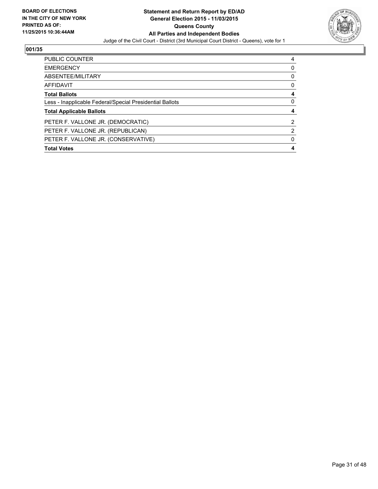

| <b>PUBLIC COUNTER</b>                                    | 4        |
|----------------------------------------------------------|----------|
| <b>EMERGENCY</b>                                         | n        |
| ABSENTEE/MILITARY                                        | 0        |
| AFFIDAVIT                                                | $\Omega$ |
| <b>Total Ballots</b>                                     | 4        |
| Less - Inapplicable Federal/Special Presidential Ballots | 0        |
| <b>Total Applicable Ballots</b>                          |          |
| PETER F. VALLONE JR. (DEMOCRATIC)                        | 2        |
| PETER F. VALLONE JR. (REPUBLICAN)                        | 2        |
| PETER F. VALLONE JR. (CONSERVATIVE)                      |          |
| <b>Total Votes</b>                                       | 4        |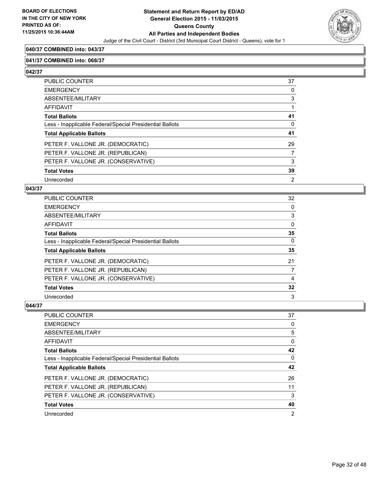

### **040/37 COMBINED into: 043/37**

### **041/37 COMBINED into: 068/37**

**042/37** 

| PUBLIC COUNTER                                           | 37             |
|----------------------------------------------------------|----------------|
| <b>EMERGENCY</b>                                         | 0              |
| ABSENTEE/MILITARY                                        | 3              |
| <b>AFFIDAVIT</b>                                         |                |
| <b>Total Ballots</b>                                     | 41             |
| Less - Inapplicable Federal/Special Presidential Ballots | $\Omega$       |
| <b>Total Applicable Ballots</b>                          | 41             |
| PETER F. VALLONE JR. (DEMOCRATIC)                        | 29             |
| PETER F. VALLONE JR. (REPUBLICAN)                        | 7              |
| PETER F. VALLONE JR. (CONSERVATIVE)                      | 3              |
| <b>Total Votes</b>                                       | 39             |
| Unrecorded                                               | $\overline{2}$ |

### **043/37**

| PUBLIC COUNTER                                           | 32 |
|----------------------------------------------------------|----|
| <b>EMERGENCY</b>                                         | 0  |
| <b>ABSENTEE/MILITARY</b>                                 | 3  |
| AFFIDAVIT                                                | 0  |
| <b>Total Ballots</b>                                     | 35 |
| Less - Inapplicable Federal/Special Presidential Ballots | 0  |
| <b>Total Applicable Ballots</b>                          | 35 |
| PETER F. VALLONE JR. (DEMOCRATIC)                        | 21 |
| PETER F. VALLONE JR. (REPUBLICAN)                        | 7  |
| PETER F. VALLONE JR. (CONSERVATIVE)                      | 4  |
| <b>Total Votes</b>                                       | 32 |
| Unrecorded                                               | 3  |

| <b>PUBLIC COUNTER</b>                                    | 37 |
|----------------------------------------------------------|----|
| <b>EMERGENCY</b>                                         | 0  |
| ABSENTEE/MILITARY                                        | 5  |
| AFFIDAVIT                                                | 0  |
| <b>Total Ballots</b>                                     | 42 |
| Less - Inapplicable Federal/Special Presidential Ballots | 0  |
| <b>Total Applicable Ballots</b>                          | 42 |
| PETER F. VALLONE JR. (DEMOCRATIC)                        | 26 |
| PETER F. VALLONE JR. (REPUBLICAN)                        | 11 |
| PETER F. VALLONE JR. (CONSERVATIVE)                      | 3  |
| <b>Total Votes</b>                                       | 40 |
|                                                          |    |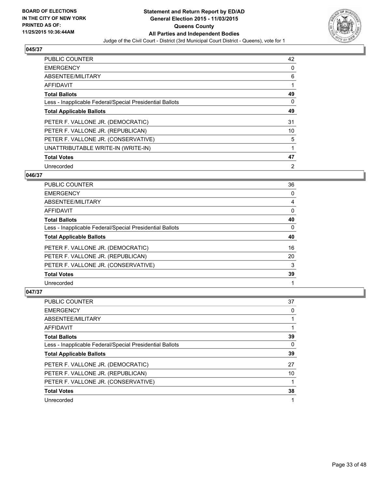

| <b>PUBLIC COUNTER</b>                                    | 42 |
|----------------------------------------------------------|----|
| <b>EMERGENCY</b>                                         | 0  |
| ABSENTEE/MILITARY                                        | 6  |
| AFFIDAVIT                                                |    |
| <b>Total Ballots</b>                                     | 49 |
| Less - Inapplicable Federal/Special Presidential Ballots | 0  |
| <b>Total Applicable Ballots</b>                          | 49 |
| PETER F. VALLONE JR. (DEMOCRATIC)                        | 31 |
| PETER F. VALLONE JR. (REPUBLICAN)                        | 10 |
| PETER F. VALLONE JR. (CONSERVATIVE)                      | 5  |
| UNATTRIBUTABLE WRITE-IN (WRITE-IN)                       | 1  |
| <b>Total Votes</b>                                       | 47 |
| Unrecorded                                               | 2  |

# **046/37**

| PUBLIC COUNTER                                           | 36 |
|----------------------------------------------------------|----|
| <b>EMERGENCY</b>                                         | 0  |
| ABSENTEE/MILITARY                                        | 4  |
| AFFIDAVIT                                                | 0  |
| <b>Total Ballots</b>                                     | 40 |
| Less - Inapplicable Federal/Special Presidential Ballots | 0  |
| <b>Total Applicable Ballots</b>                          | 40 |
| PETER F. VALLONE JR. (DEMOCRATIC)                        | 16 |
| PETER F. VALLONE JR. (REPUBLICAN)                        | 20 |
| PETER F. VALLONE JR. (CONSERVATIVE)                      | 3  |
| <b>Total Votes</b>                                       | 39 |
| Unrecorded                                               |    |

| <b>PUBLIC COUNTER</b>                                    | 37 |
|----------------------------------------------------------|----|
| <b>EMERGENCY</b>                                         | 0  |
| ABSENTEE/MILITARY                                        |    |
| AFFIDAVIT                                                |    |
| <b>Total Ballots</b>                                     | 39 |
| Less - Inapplicable Federal/Special Presidential Ballots | 0  |
| <b>Total Applicable Ballots</b>                          | 39 |
| PETER F. VALLONE JR. (DEMOCRATIC)                        | 27 |
| PETER F. VALLONE JR. (REPUBLICAN)                        | 10 |
| PETER F. VALLONE JR. (CONSERVATIVE)                      |    |
| <b>Total Votes</b>                                       | 38 |
| Unrecorded                                               |    |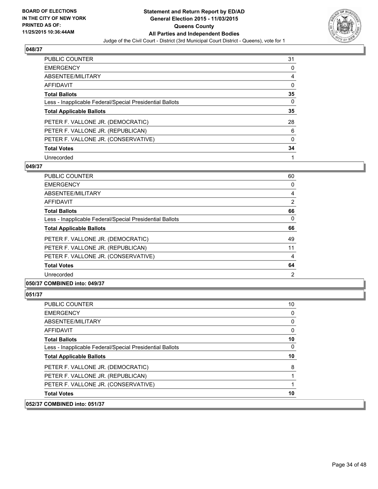

| <b>PUBLIC COUNTER</b>                                    | 31 |
|----------------------------------------------------------|----|
| <b>EMERGENCY</b>                                         | 0  |
| ABSENTEE/MILITARY                                        | 4  |
| <b>AFFIDAVIT</b>                                         | 0  |
| <b>Total Ballots</b>                                     | 35 |
| Less - Inapplicable Federal/Special Presidential Ballots | 0  |
| <b>Total Applicable Ballots</b>                          | 35 |
| PETER F. VALLONE JR. (DEMOCRATIC)                        | 28 |
| PETER F. VALLONE JR. (REPUBLICAN)                        | 6  |
| PETER F. VALLONE JR. (CONSERVATIVE)                      | 0  |
| <b>Total Votes</b>                                       | 34 |
| Unrecorded                                               |    |

### **049/37**

| <b>PUBLIC COUNTER</b>                                    | 60       |
|----------------------------------------------------------|----------|
| <b>EMERGENCY</b>                                         | 0        |
| ABSENTEE/MILITARY                                        | 4        |
| AFFIDAVIT                                                | 2        |
| <b>Total Ballots</b>                                     | 66       |
| Less - Inapplicable Federal/Special Presidential Ballots | $\Omega$ |
| <b>Total Applicable Ballots</b>                          | 66       |
| PETER F. VALLONE JR. (DEMOCRATIC)                        | 49       |
| PETER F. VALLONE JR. (REPUBLICAN)                        | 11       |
| PETER F. VALLONE JR. (CONSERVATIVE)                      | 4        |
| <b>Total Votes</b>                                       | 64       |
| Unrecorded                                               | 2        |

### **050/37 COMBINED into: 049/37**

**051/37** 

| $COMRINFD$ into: 051/37                                  |    |
|----------------------------------------------------------|----|
| <b>Total Votes</b>                                       | 10 |
| PETER F. VALLONE JR. (CONSERVATIVE)                      |    |
| PETER F. VALLONE JR. (REPUBLICAN)                        |    |
| PETER F. VALLONE JR. (DEMOCRATIC)                        | 8  |
| <b>Total Applicable Ballots</b>                          | 10 |
| Less - Inapplicable Federal/Special Presidential Ballots | 0  |
| <b>Total Ballots</b>                                     | 10 |
| <b>AFFIDAVIT</b>                                         | 0  |
| ABSENTEE/MILITARY                                        | 0  |
| <b>EMERGENCY</b>                                         | 0  |
| <b>PUBLIC COUNTER</b>                                    | 10 |

**052/37 COMBINED into: 051/37**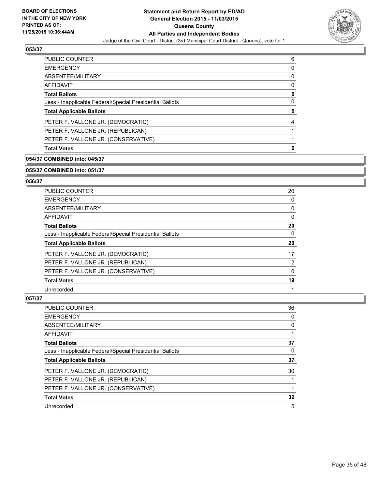

| <b>PUBLIC COUNTER</b>                                    | 6 |
|----------------------------------------------------------|---|
| <b>EMERGENCY</b>                                         | 0 |
| ABSENTEE/MILITARY                                        | 0 |
| AFFIDAVIT                                                | 0 |
| <b>Total Ballots</b>                                     | 6 |
| Less - Inapplicable Federal/Special Presidential Ballots | 0 |
| <b>Total Applicable Ballots</b>                          | 6 |
| PETER F. VALLONE JR. (DEMOCRATIC)                        | 4 |
| PETER F. VALLONE JR. (REPUBLICAN)                        |   |
| PETER F. VALLONE JR. (CONSERVATIVE)                      |   |
| <b>Total Votes</b>                                       | 6 |

### **054/37 COMBINED into: 045/37**

#### **055/37 COMBINED into: 051/37**

### **056/37**

| PUBLIC COUNTER                                           | 20       |
|----------------------------------------------------------|----------|
| <b>EMERGENCY</b>                                         | 0        |
| ABSENTEE/MILITARY                                        | 0        |
| <b>AFFIDAVIT</b>                                         | $\Omega$ |
| <b>Total Ballots</b>                                     | 20       |
| Less - Inapplicable Federal/Special Presidential Ballots | 0        |
| <b>Total Applicable Ballots</b>                          | 20       |
| PETER F. VALLONE JR. (DEMOCRATIC)                        | 17       |
| PETER F. VALLONE JR. (REPUBLICAN)                        | 2        |
| PETER F. VALLONE JR. (CONSERVATIVE)                      | 0        |
| <b>Total Votes</b>                                       | 19       |
| Unrecorded                                               |          |

| PUBLIC COUNTER                                           | 36 |
|----------------------------------------------------------|----|
| <b>EMERGENCY</b>                                         | 0  |
| ABSENTEE/MILITARY                                        | 0  |
| AFFIDAVIT                                                |    |
| <b>Total Ballots</b>                                     | 37 |
| Less - Inapplicable Federal/Special Presidential Ballots | 0  |
| <b>Total Applicable Ballots</b>                          | 37 |
| PETER F. VALLONE JR. (DEMOCRATIC)                        | 30 |
| PETER F. VALLONE JR. (REPUBLICAN)                        |    |
| PETER F. VALLONE JR. (CONSERVATIVE)                      |    |
| <b>Total Votes</b>                                       | 32 |
| Unrecorded                                               | 5  |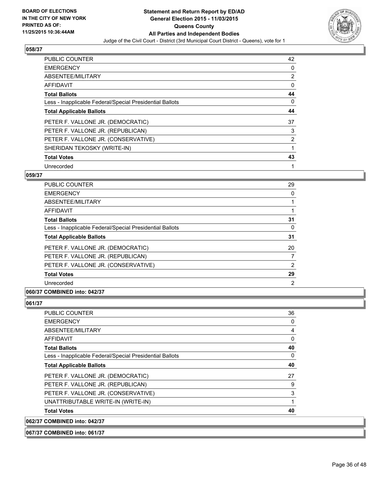

| <b>PUBLIC COUNTER</b>                                    | 42 |
|----------------------------------------------------------|----|
| <b>EMERGENCY</b>                                         | 0  |
| ABSENTEE/MILITARY                                        | 2  |
| AFFIDAVIT                                                | 0  |
| <b>Total Ballots</b>                                     | 44 |
| Less - Inapplicable Federal/Special Presidential Ballots | 0  |
| <b>Total Applicable Ballots</b>                          | 44 |
| PETER F. VALLONE JR. (DEMOCRATIC)                        | 37 |
| PETER F. VALLONE JR. (REPUBLICAN)                        | 3  |
| PETER F. VALLONE JR. (CONSERVATIVE)                      | 2  |
| SHERIDAN TEKOSKY (WRITE-IN)                              |    |
| <b>Total Votes</b>                                       | 43 |
| Unrecorded                                               | 1  |

# **059/37**

| <b>PUBLIC COUNTER</b>                                    | 29 |
|----------------------------------------------------------|----|
| <b>EMERGENCY</b>                                         | 0  |
| ABSENTEE/MILITARY                                        |    |
| AFFIDAVIT                                                |    |
| <b>Total Ballots</b>                                     | 31 |
| Less - Inapplicable Federal/Special Presidential Ballots | 0  |
| <b>Total Applicable Ballots</b>                          | 31 |
| PETER F. VALLONE JR. (DEMOCRATIC)                        | 20 |
| PETER F. VALLONE JR. (REPUBLICAN)                        | 7  |
| PETER F. VALLONE JR. (CONSERVATIVE)                      | 2  |
| <b>Total Votes</b>                                       | 29 |
| Unrecorded                                               | 2  |

# **060/37 COMBINED into: 042/37**

### **061/37**

| 062/37 COMBINED into: 042/37                             |              |
|----------------------------------------------------------|--------------|
| <b>Total Votes</b>                                       | 40           |
| UNATTRIBUTABLE WRITE-IN (WRITE-IN)                       | $\mathbf{1}$ |
| PETER F. VALLONE JR. (CONSERVATIVE)                      | 3            |
| PETER F. VALLONE JR. (REPUBLICAN)                        | 9            |
| PETER F. VALLONE JR. (DEMOCRATIC)                        | 27           |
| <b>Total Applicable Ballots</b>                          | 40           |
| Less - Inapplicable Federal/Special Presidential Ballots | $\Omega$     |
| <b>Total Ballots</b>                                     | 40           |
| <b>AFFIDAVIT</b>                                         | 0            |
| ABSENTEE/MILITARY                                        | 4            |
| <b>EMERGENCY</b>                                         | 0            |
| <b>PUBLIC COUNTER</b>                                    | 36           |

**067/37 COMBINED into: 061/37**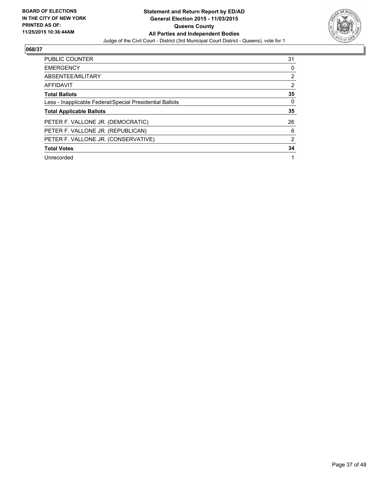

| <b>PUBLIC COUNTER</b>                                    | 31             |
|----------------------------------------------------------|----------------|
| <b>EMERGENCY</b>                                         | 0              |
| ABSENTEE/MILITARY                                        | $\overline{2}$ |
| <b>AFFIDAVIT</b>                                         | $\overline{2}$ |
| <b>Total Ballots</b>                                     | 35             |
| Less - Inapplicable Federal/Special Presidential Ballots | 0              |
| <b>Total Applicable Ballots</b>                          | 35             |
| PETER F. VALLONE JR. (DEMOCRATIC)                        | 26             |
| PETER F. VALLONE JR. (REPUBLICAN)                        | 6              |
| PETER F. VALLONE JR. (CONSERVATIVE)                      | $\overline{2}$ |
| <b>Total Votes</b>                                       | 34             |
|                                                          |                |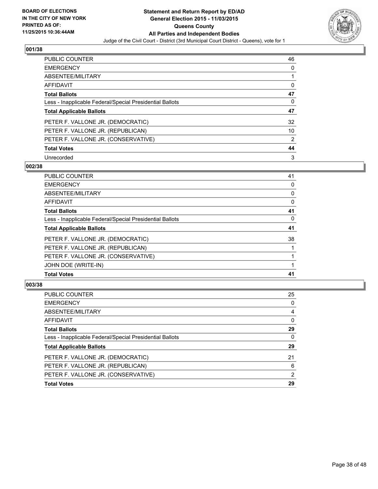

| <b>PUBLIC COUNTER</b>                                    | 46             |
|----------------------------------------------------------|----------------|
| <b>EMERGENCY</b>                                         | 0              |
| ABSENTEE/MILITARY                                        |                |
| <b>AFFIDAVIT</b>                                         | 0              |
| <b>Total Ballots</b>                                     | 47             |
| Less - Inapplicable Federal/Special Presidential Ballots | 0              |
| <b>Total Applicable Ballots</b>                          | 47             |
| PETER F. VALLONE JR. (DEMOCRATIC)                        | 32             |
| PETER F. VALLONE JR. (REPUBLICAN)                        | 10             |
| PETER F. VALLONE JR. (CONSERVATIVE)                      | $\overline{2}$ |
| <b>Total Votes</b>                                       | 44             |
| Unrecorded                                               | 3              |

### **002/38**

| PUBLIC COUNTER                                           | 41 |
|----------------------------------------------------------|----|
| <b>EMERGENCY</b>                                         | 0  |
| ABSENTEE/MILITARY                                        | 0  |
| <b>AFFIDAVIT</b>                                         | 0  |
| <b>Total Ballots</b>                                     | 41 |
| Less - Inapplicable Federal/Special Presidential Ballots | 0  |
| <b>Total Applicable Ballots</b>                          | 41 |
| PETER F. VALLONE JR. (DEMOCRATIC)                        | 38 |
| PETER F. VALLONE JR. (REPUBLICAN)                        |    |
| PETER F. VALLONE JR. (CONSERVATIVE)                      |    |
| JOHN DOE (WRITE-IN)                                      |    |
| <b>Total Votes</b>                                       | 41 |

| <b>Total Votes</b>                                       | 29 |
|----------------------------------------------------------|----|
| PETER F. VALLONE JR. (CONSERVATIVE)                      | 2  |
| PETER F. VALLONE JR. (REPUBLICAN)                        | 6  |
| PETER F. VALLONE JR. (DEMOCRATIC)                        | 21 |
| <b>Total Applicable Ballots</b>                          | 29 |
| Less - Inapplicable Federal/Special Presidential Ballots | 0  |
| <b>Total Ballots</b>                                     | 29 |
| AFFIDAVIT                                                | 0  |
| ABSENTEE/MILITARY                                        | 4  |
| <b>EMERGENCY</b>                                         | 0  |
| <b>PUBLIC COUNTER</b>                                    | 25 |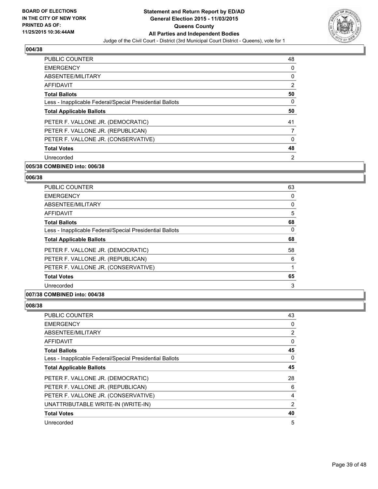

| PUBLIC COUNTER                                           | 48             |
|----------------------------------------------------------|----------------|
| <b>EMERGENCY</b>                                         | 0              |
| ABSENTEE/MILITARY                                        | 0              |
| AFFIDAVIT                                                | $\overline{2}$ |
| <b>Total Ballots</b>                                     | 50             |
| Less - Inapplicable Federal/Special Presidential Ballots | 0              |
| <b>Total Applicable Ballots</b>                          | 50             |
| PETER F. VALLONE JR. (DEMOCRATIC)                        | 41             |
| PETER F. VALLONE JR. (REPUBLICAN)                        |                |
| PETER F. VALLONE JR. (CONSERVATIVE)                      | 0              |
| <b>Total Votes</b>                                       | 48             |
| Unrecorded                                               | $\overline{2}$ |

# **005/38 COMBINED into: 006/38**

#### **006/38**

| <b>PUBLIC COUNTER</b>                                    | 63 |
|----------------------------------------------------------|----|
| <b>EMERGENCY</b>                                         | 0  |
| ABSENTEE/MILITARY                                        | 0  |
| <b>AFFIDAVIT</b>                                         | 5  |
| <b>Total Ballots</b>                                     | 68 |
| Less - Inapplicable Federal/Special Presidential Ballots | 0  |
| <b>Total Applicable Ballots</b>                          | 68 |
| PETER F. VALLONE JR. (DEMOCRATIC)                        | 58 |
| PETER F. VALLONE JR. (REPUBLICAN)                        | 6  |
| PETER F. VALLONE JR. (CONSERVATIVE)                      |    |
| <b>Total Votes</b>                                       | 65 |
| Unrecorded                                               | 3  |
|                                                          |    |

### **007/38 COMBINED into: 004/38**

| PUBLIC COUNTER                                           | 43 |
|----------------------------------------------------------|----|
| <b>EMERGENCY</b>                                         | 0  |
| ABSENTEE/MILITARY                                        | 2  |
| AFFIDAVIT                                                | 0  |
| <b>Total Ballots</b>                                     | 45 |
| Less - Inapplicable Federal/Special Presidential Ballots | 0  |
| <b>Total Applicable Ballots</b>                          | 45 |
| PETER F. VALLONE JR. (DEMOCRATIC)                        | 28 |
| PETER F. VALLONE JR. (REPUBLICAN)                        | 6  |
| PETER F. VALLONE JR. (CONSERVATIVE)                      | 4  |
| UNATTRIBUTABLE WRITE-IN (WRITE-IN)                       | 2  |
| <b>Total Votes</b>                                       | 40 |
| Unrecorded                                               | 5  |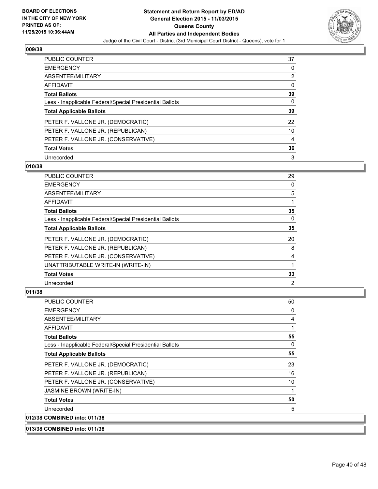

| PUBLIC COUNTER                                           | 37             |
|----------------------------------------------------------|----------------|
| <b>EMERGENCY</b>                                         | 0              |
| ABSENTEE/MILITARY                                        | $\overline{2}$ |
| <b>AFFIDAVIT</b>                                         | 0              |
| <b>Total Ballots</b>                                     | 39             |
| Less - Inapplicable Federal/Special Presidential Ballots | 0              |
| <b>Total Applicable Ballots</b>                          | 39             |
| PETER F. VALLONE JR. (DEMOCRATIC)                        | 22             |
| PETER F. VALLONE JR. (REPUBLICAN)                        | 10             |
| PETER F. VALLONE JR. (CONSERVATIVE)                      | 4              |
| <b>Total Votes</b>                                       | 36             |
| Unrecorded                                               | 3              |

### **010/38**

| <b>PUBLIC COUNTER</b>                                    | 29             |
|----------------------------------------------------------|----------------|
| <b>EMERGENCY</b>                                         | 0              |
| ABSENTEE/MILITARY                                        | 5              |
| <b>AFFIDAVIT</b>                                         |                |
| <b>Total Ballots</b>                                     | 35             |
| Less - Inapplicable Federal/Special Presidential Ballots | 0              |
| <b>Total Applicable Ballots</b>                          | 35             |
| PETER F. VALLONE JR. (DEMOCRATIC)                        | 20             |
| PETER F. VALLONE JR. (REPUBLICAN)                        | 8              |
| PETER F. VALLONE JR. (CONSERVATIVE)                      | 4              |
| UNATTRIBUTABLE WRITE-IN (WRITE-IN)                       |                |
| <b>Total Votes</b>                                       | 33             |
| Unrecorded                                               | $\overline{2}$ |

| <b>PUBLIC COUNTER</b>                                    | 50 |
|----------------------------------------------------------|----|
| <b>EMERGENCY</b>                                         | 0  |
| ABSENTEE/MILITARY                                        | 4  |
| AFFIDAVIT                                                |    |
| <b>Total Ballots</b>                                     | 55 |
| Less - Inapplicable Federal/Special Presidential Ballots | 0  |
| <b>Total Applicable Ballots</b>                          | 55 |
| PETER F. VALLONE JR. (DEMOCRATIC)                        | 23 |
| PETER F. VALLONE JR. (REPUBLICAN)                        | 16 |
| PETER F. VALLONE JR. (CONSERVATIVE)                      | 10 |
| JASMINE BROWN (WRITE-IN)                                 | 1  |
| <b>Total Votes</b>                                       | 50 |
| Unrecorded                                               | 5  |
| 012/38 COMBINED into: 011/38                             |    |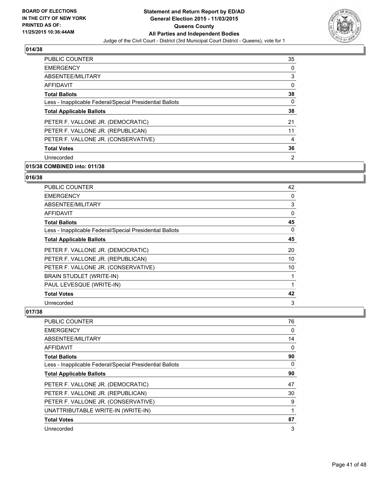

| PUBLIC COUNTER                                           | 35             |
|----------------------------------------------------------|----------------|
| <b>EMERGENCY</b>                                         | 0              |
| ABSENTEE/MILITARY                                        | 3              |
| AFFIDAVIT                                                | 0              |
| <b>Total Ballots</b>                                     | 38             |
| Less - Inapplicable Federal/Special Presidential Ballots | 0              |
| <b>Total Applicable Ballots</b>                          | 38             |
| PETER F. VALLONE JR. (DEMOCRATIC)                        | 21             |
| PETER F. VALLONE JR. (REPUBLICAN)                        | 11             |
| PETER F. VALLONE JR. (CONSERVATIVE)                      | 4              |
| <b>Total Votes</b>                                       | 36             |
| Unrecorded                                               | $\overline{2}$ |
|                                                          |                |

# **015/38 COMBINED into: 011/38**

### **016/38**

| <b>PUBLIC COUNTER</b>                                    | 42 |
|----------------------------------------------------------|----|
| <b>EMERGENCY</b>                                         | 0  |
| ABSENTEE/MILITARY                                        | 3  |
| AFFIDAVIT                                                | 0  |
| <b>Total Ballots</b>                                     | 45 |
| Less - Inapplicable Federal/Special Presidential Ballots | 0  |
| <b>Total Applicable Ballots</b>                          | 45 |
| PETER F. VALLONE JR. (DEMOCRATIC)                        | 20 |
| PETER F. VALLONE JR. (REPUBLICAN)                        | 10 |
| PETER F. VALLONE JR. (CONSERVATIVE)                      | 10 |
| BRAIN STUDLET (WRITE-IN)                                 | 1  |
| PAUL LEVESQUE (WRITE-IN)                                 | 1  |
| <b>Total Votes</b>                                       | 42 |
| Unrecorded                                               | 3  |

| <b>PUBLIC COUNTER</b>                                    | 76 |
|----------------------------------------------------------|----|
| <b>EMERGENCY</b>                                         | 0  |
| ABSENTEE/MILITARY                                        | 14 |
| AFFIDAVIT                                                | 0  |
| <b>Total Ballots</b>                                     | 90 |
| Less - Inapplicable Federal/Special Presidential Ballots | 0  |
| <b>Total Applicable Ballots</b>                          | 90 |
| PETER F. VALLONE JR. (DEMOCRATIC)                        | 47 |
| PETER F. VALLONE JR. (REPUBLICAN)                        | 30 |
| PETER F. VALLONE JR. (CONSERVATIVE)                      | 9  |
| UNATTRIBUTABLE WRITE-IN (WRITE-IN)                       | 1  |
| <b>Total Votes</b>                                       | 87 |
| Unrecorded                                               | 3  |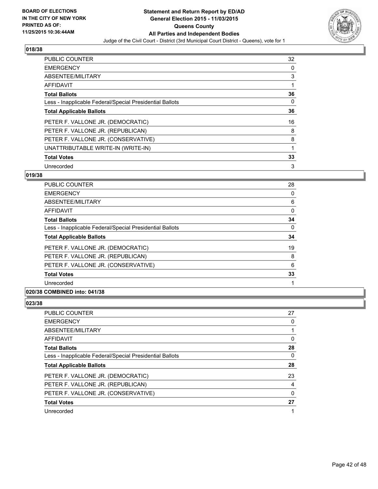

| <b>PUBLIC COUNTER</b>                                    | 32 |
|----------------------------------------------------------|----|
| <b>EMERGENCY</b>                                         | 0  |
| ABSENTEE/MILITARY                                        | 3  |
| <b>AFFIDAVIT</b>                                         | 1  |
| <b>Total Ballots</b>                                     | 36 |
| Less - Inapplicable Federal/Special Presidential Ballots | 0  |
| <b>Total Applicable Ballots</b>                          | 36 |
| PETER F. VALLONE JR. (DEMOCRATIC)                        | 16 |
| PETER F. VALLONE JR. (REPUBLICAN)                        | 8  |
| PETER F. VALLONE JR. (CONSERVATIVE)                      | 8  |
| UNATTRIBUTABLE WRITE-IN (WRITE-IN)                       | 1  |
| <b>Total Votes</b>                                       | 33 |
| Unrecorded                                               | 3  |

# **019/38**

| <b>PUBLIC COUNTER</b>                                    | 28       |
|----------------------------------------------------------|----------|
| <b>EMERGENCY</b>                                         | 0        |
| ABSENTEE/MILITARY                                        | 6        |
| AFFIDAVIT                                                | 0        |
| <b>Total Ballots</b>                                     | 34       |
| Less - Inapplicable Federal/Special Presidential Ballots | $\Omega$ |
| <b>Total Applicable Ballots</b>                          | 34       |
| PETER F. VALLONE JR. (DEMOCRATIC)                        | 19       |
| PETER F. VALLONE JR. (REPUBLICAN)                        | 8        |
| PETER F. VALLONE JR. (CONSERVATIVE)                      | 6        |
| <b>Total Votes</b>                                       | 33       |
| Unrecorded                                               |          |

# **020/38 COMBINED into: 041/38**

| <b>PUBLIC COUNTER</b>                                    | 27 |
|----------------------------------------------------------|----|
| <b>EMERGENCY</b>                                         | 0  |
| ABSENTEE/MILITARY                                        |    |
| <b>AFFIDAVIT</b>                                         | 0  |
| <b>Total Ballots</b>                                     | 28 |
| Less - Inapplicable Federal/Special Presidential Ballots | 0  |
| <b>Total Applicable Ballots</b>                          | 28 |
| PETER F. VALLONE JR. (DEMOCRATIC)                        | 23 |
| PETER F. VALLONE JR. (REPUBLICAN)                        | 4  |
| PETER F. VALLONE JR. (CONSERVATIVE)                      | 0  |
| <b>Total Votes</b>                                       | 27 |
| Unrecorded                                               |    |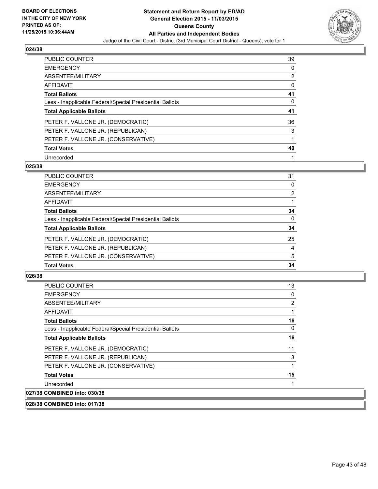

| <b>PUBLIC COUNTER</b>                                    | 39             |
|----------------------------------------------------------|----------------|
| <b>EMERGENCY</b>                                         | 0              |
| ABSENTEE/MILITARY                                        | $\overline{2}$ |
| <b>AFFIDAVIT</b>                                         | 0              |
| <b>Total Ballots</b>                                     | 41             |
| Less - Inapplicable Federal/Special Presidential Ballots | 0              |
| <b>Total Applicable Ballots</b>                          | 41             |
| PETER F. VALLONE JR. (DEMOCRATIC)                        | 36             |
| PETER F. VALLONE JR. (REPUBLICAN)                        | 3              |
| PETER F. VALLONE JR. (CONSERVATIVE)                      |                |
| <b>Total Votes</b>                                       | 40             |
| Unrecorded                                               | 1              |

### **025/38**

| PUBLIC COUNTER                                           | 31             |
|----------------------------------------------------------|----------------|
| <b>EMERGENCY</b>                                         | $\Omega$       |
| <b>ABSENTEE/MILITARY</b>                                 | 2              |
| <b>AFFIDAVIT</b>                                         |                |
| <b>Total Ballots</b>                                     | 34             |
| Less - Inapplicable Federal/Special Presidential Ballots | $\Omega$       |
| <b>Total Applicable Ballots</b>                          | 34             |
| PETER F. VALLONE JR. (DEMOCRATIC)                        | 25             |
| PETER F. VALLONE JR. (REPUBLICAN)                        | $\overline{4}$ |
| PETER F. VALLONE JR. (CONSERVATIVE)                      | 5              |
| <b>Total Votes</b>                                       | 34             |
|                                                          |                |

| PUBLIC COUNTER                                           | 13 |
|----------------------------------------------------------|----|
| <b>EMERGENCY</b>                                         | 0  |
| ABSENTEE/MILITARY                                        | 2  |
| <b>AFFIDAVIT</b>                                         |    |
| <b>Total Ballots</b>                                     | 16 |
| Less - Inapplicable Federal/Special Presidential Ballots | 0  |
| <b>Total Applicable Ballots</b>                          | 16 |
| PETER F. VALLONE JR. (DEMOCRATIC)                        | 11 |
| PETER F. VALLONE JR. (REPUBLICAN)                        | 3  |
| PETER F. VALLONE JR. (CONSERVATIVE)                      |    |
| <b>Total Votes</b>                                       | 15 |
| Unrecorded                                               |    |
| 027/38 COMBINED into: 030/38                             |    |
| 028/38 COMBINED into: 017/38                             |    |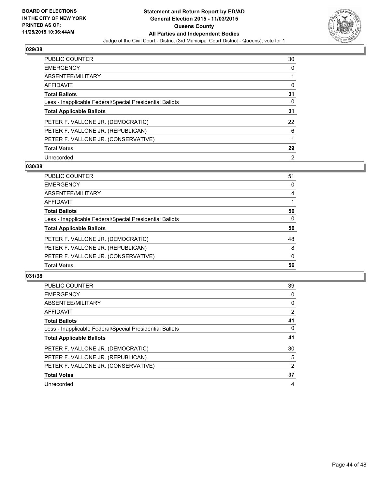

| <b>PUBLIC COUNTER</b>                                    | 30 |
|----------------------------------------------------------|----|
| <b>EMERGENCY</b>                                         | 0  |
| ABSENTEE/MILITARY                                        |    |
| <b>AFFIDAVIT</b>                                         | 0  |
| <b>Total Ballots</b>                                     | 31 |
| Less - Inapplicable Federal/Special Presidential Ballots | 0  |
| <b>Total Applicable Ballots</b>                          | 31 |
| PETER F. VALLONE JR. (DEMOCRATIC)                        | 22 |
| PETER F. VALLONE JR. (REPUBLICAN)                        | 6  |
| PETER F. VALLONE JR. (CONSERVATIVE)                      |    |
| <b>Total Votes</b>                                       | 29 |
| Unrecorded                                               | 2  |

### **030/38**

| <b>PUBLIC COUNTER</b>                                    | 51       |
|----------------------------------------------------------|----------|
| <b>EMERGENCY</b>                                         | $\Omega$ |
| <b>ABSENTEE/MILITARY</b>                                 | 4        |
| <b>AFFIDAVIT</b>                                         |          |
| <b>Total Ballots</b>                                     | 56       |
| Less - Inapplicable Federal/Special Presidential Ballots | $\Omega$ |
| <b>Total Applicable Ballots</b>                          | 56       |
| PETER F. VALLONE JR. (DEMOCRATIC)                        | 48       |
| PETER F. VALLONE JR. (REPUBLICAN)                        | 8        |
| PETER F. VALLONE JR. (CONSERVATIVE)                      | 0        |
| <b>Total Votes</b>                                       | 56       |
|                                                          |          |

| <b>PUBLIC COUNTER</b>                                    | 39             |
|----------------------------------------------------------|----------------|
| <b>EMERGENCY</b>                                         | 0              |
| ABSENTEE/MILITARY                                        | 0              |
| AFFIDAVIT                                                | $\overline{2}$ |
| <b>Total Ballots</b>                                     | 41             |
| Less - Inapplicable Federal/Special Presidential Ballots | 0              |
| <b>Total Applicable Ballots</b>                          | 41             |
| PETER F. VALLONE JR. (DEMOCRATIC)                        | 30             |
| PETER F. VALLONE JR. (REPUBLICAN)                        | 5              |
| PETER F. VALLONE JR. (CONSERVATIVE)                      | 2              |
| <b>Total Votes</b>                                       | 37             |
| Unrecorded                                               | 4              |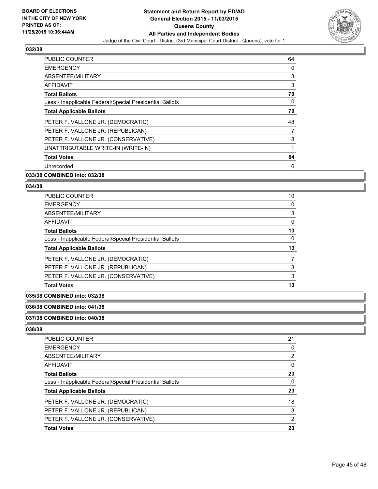

| PUBLIC COUNTER                                           | 64 |
|----------------------------------------------------------|----|
| <b>EMERGENCY</b>                                         | 0  |
| ABSENTEE/MILITARY                                        | 3  |
| <b>AFFIDAVIT</b>                                         | 3  |
| <b>Total Ballots</b>                                     | 70 |
| Less - Inapplicable Federal/Special Presidential Ballots | 0  |
| <b>Total Applicable Ballots</b>                          | 70 |
| PETER F. VALLONE JR. (DEMOCRATIC)                        | 48 |
| PETER F. VALLONE JR. (REPUBLICAN)                        | 7  |
| PETER F. VALLONE JR. (CONSERVATIVE)                      | 8  |
| UNATTRIBUTABLE WRITE-IN (WRITE-IN)                       | 1  |
| <b>Total Votes</b>                                       | 64 |
| Unrecorded                                               | 6  |
|                                                          |    |

### **033/38 COMBINED into: 032/38**

#### **034/38**

| <b>PUBLIC COUNTER</b>                                    | 10       |
|----------------------------------------------------------|----------|
| <b>EMERGENCY</b>                                         | $\Omega$ |
| ABSENTEE/MILITARY                                        | 3        |
| AFFIDAVIT                                                | $\Omega$ |
| <b>Total Ballots</b>                                     | 13       |
| Less - Inapplicable Federal/Special Presidential Ballots | 0        |
| <b>Total Applicable Ballots</b>                          | 13       |
| PETER F. VALLONE JR. (DEMOCRATIC)                        |          |
| PETER F. VALLONE JR. (REPUBLICAN)                        | 3        |
| PETER F. VALLONE JR. (CONSERVATIVE)                      | 3        |
| <b>Total Votes</b>                                       | 13       |

### **035/38 COMBINED into: 032/38**

### **036/38 COMBINED into: 041/38**

#### **037/38 COMBINED into: 040/38**

| PUBLIC COUNTER                                           | 21             |
|----------------------------------------------------------|----------------|
| <b>EMERGENCY</b>                                         | 0              |
| <b>ABSENTEE/MILITARY</b>                                 | $\overline{2}$ |
| <b>AFFIDAVIT</b>                                         | 0              |
| <b>Total Ballots</b>                                     | 23             |
| Less - Inapplicable Federal/Special Presidential Ballots | 0              |
| <b>Total Applicable Ballots</b>                          | 23             |
| PETER F. VALLONE JR. (DEMOCRATIC)                        | 18             |
| PETER F. VALLONE JR. (REPUBLICAN)                        | 3              |
| PETER F. VALLONE JR. (CONSERVATIVE)                      | $\overline{2}$ |
| <b>Total Votes</b>                                       | 23             |
|                                                          |                |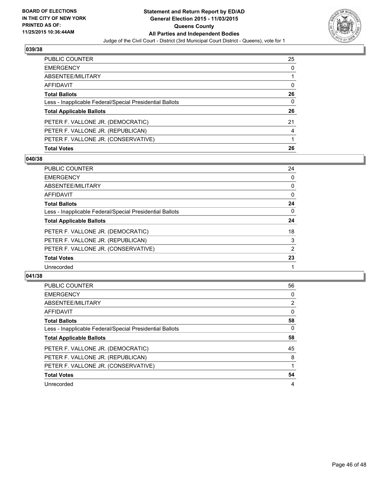

| <b>PUBLIC COUNTER</b>                                    | 25 |
|----------------------------------------------------------|----|
| <b>EMERGENCY</b>                                         | 0  |
| ABSENTEE/MILITARY                                        |    |
| AFFIDAVIT                                                | 0  |
| <b>Total Ballots</b>                                     | 26 |
| Less - Inapplicable Federal/Special Presidential Ballots | 0  |
| <b>Total Applicable Ballots</b>                          | 26 |
| PETER F. VALLONE JR. (DEMOCRATIC)                        | 21 |
| PETER F. VALLONE JR. (REPUBLICAN)                        | 4  |
| PETER F. VALLONE JR. (CONSERVATIVE)                      |    |
| <b>Total Votes</b>                                       | 26 |

# **040/38**

| PUBLIC COUNTER                                           | 24       |
|----------------------------------------------------------|----------|
| <b>EMERGENCY</b>                                         | 0        |
| <b>ABSENTEE/MILITARY</b>                                 | 0        |
| <b>AFFIDAVIT</b>                                         | 0        |
| <b>Total Ballots</b>                                     | 24       |
| Less - Inapplicable Federal/Special Presidential Ballots | $\Omega$ |
| <b>Total Applicable Ballots</b>                          | 24       |
| PETER F. VALLONE JR. (DEMOCRATIC)                        | 18       |
| PETER F. VALLONE JR. (REPUBLICAN)                        | 3        |
| PETER F. VALLONE JR. (CONSERVATIVE)                      | 2        |
| <b>Total Votes</b>                                       | 23       |
| Unrecorded                                               |          |
|                                                          |          |

| <b>PUBLIC COUNTER</b>                                    | 56 |
|----------------------------------------------------------|----|
| <b>EMERGENCY</b>                                         | 0  |
| ABSENTEE/MILITARY                                        | 2  |
| <b>AFFIDAVIT</b>                                         | 0  |
| <b>Total Ballots</b>                                     | 58 |
| Less - Inapplicable Federal/Special Presidential Ballots | 0  |
| <b>Total Applicable Ballots</b>                          | 58 |
| PETER F. VALLONE JR. (DEMOCRATIC)                        | 45 |
| PETER F. VALLONE JR. (REPUBLICAN)                        | 8  |
| PETER F. VALLONE JR. (CONSERVATIVE)                      |    |
| <b>Total Votes</b>                                       | 54 |
| Unrecorded                                               | 4  |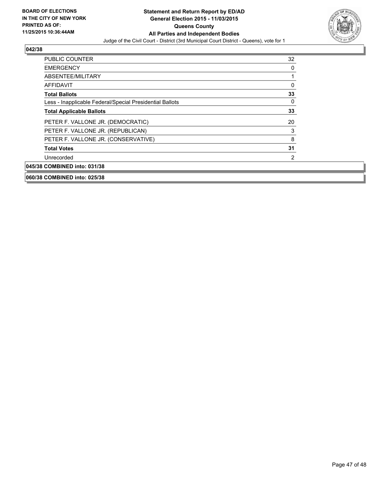

| <b>PUBLIC COUNTER</b>                                    | 32 |
|----------------------------------------------------------|----|
| <b>EMERGENCY</b>                                         | 0  |
| ABSENTEE/MILITARY                                        |    |
| AFFIDAVIT                                                | 0  |
| <b>Total Ballots</b>                                     | 33 |
| Less - Inapplicable Federal/Special Presidential Ballots | 0  |
| <b>Total Applicable Ballots</b>                          | 33 |
| PETER F. VALLONE JR. (DEMOCRATIC)                        | 20 |
| PETER F. VALLONE JR. (REPUBLICAN)                        | 3  |
| PETER F. VALLONE JR. (CONSERVATIVE)                      | 8  |
| <b>Total Votes</b>                                       | 31 |
| Unrecorded                                               | 2  |
| 045/38 COMBINED into: 031/38                             |    |
| 060/38 COMBINED into: 025/38                             |    |